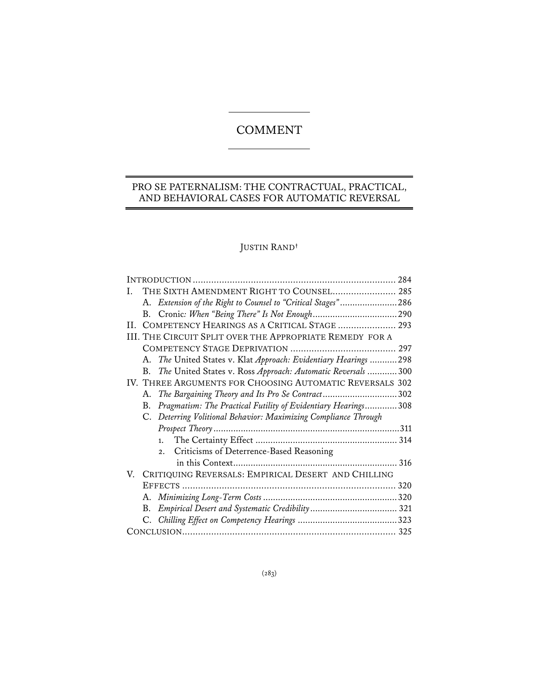# COMMENT

## PRO SE PATERNALISM: THE CONTRACTUAL, PRACTICAL, AND BEHAVIORAL CASES FOR AUTOMATIC REVERSAL

÷,

## JUSTIN RAND**†**

| THE SIXTH AMENDMENT RIGHT TO COUNSEL 285<br>Ι.                      |
|---------------------------------------------------------------------|
| A. Extension of the Right to Counsel to "Critical Stages"286        |
|                                                                     |
| II. COMPETENCY HEARINGS AS A CRITICAL STAGE  293                    |
| III. THE CIRCUIT SPLIT OVER THE APPROPRIATE REMEDY FOR A            |
|                                                                     |
| A. The United States v. Klat Approach: Evidentiary Hearings  298    |
| The United States v. Ross Approach: Automatic Reversals  300<br>B.  |
| IV. THREE ARGUMENTS FOR CHOOSING AUTOMATIC REVERSALS 302            |
| A. The Bargaining Theory and Its Pro Se Contract302                 |
| Pragmatism: The Practical Futility of Evidentiary Hearings308<br>B. |
| C. Deterring Volitional Behavior: Maximizing Compliance Through     |
|                                                                     |
|                                                                     |
| 2. Criticisms of Deterrence-Based Reasoning                         |
|                                                                     |
| V. CRITIQUING REVERSALS: EMPIRICAL DESERT AND CHILLING              |
|                                                                     |
|                                                                     |
| B.                                                                  |
|                                                                     |
|                                                                     |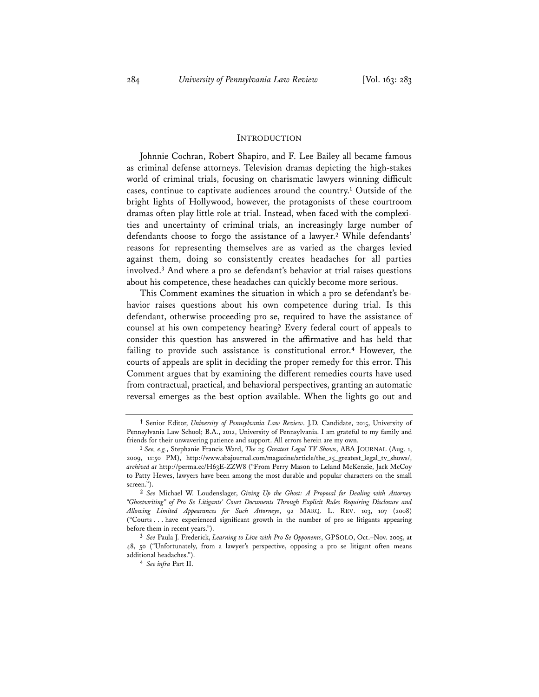#### INTRODUCTION

Johnnie Cochran, Robert Shapiro, and F. Lee Bailey all became famous as criminal defense attorneys. Television dramas depicting the high-stakes world of criminal trials, focusing on charismatic lawyers winning difficult cases, continue to captivate audiences around the country.**<sup>1</sup>** Outside of the bright lights of Hollywood, however, the protagonists of these courtroom dramas often play little role at trial. Instead, when faced with the complexities and uncertainty of criminal trials, an increasingly large number of defendants choose to forgo the assistance of a lawyer.**<sup>2</sup>** While defendants' reasons for representing themselves are as varied as the charges levied against them, doing so consistently creates headaches for all parties involved.**<sup>3</sup>** And where a pro se defendant's behavior at trial raises questions about his competence, these headaches can quickly become more serious.

This Comment examines the situation in which a pro se defendant's behavior raises questions about his own competence during trial. Is this defendant, otherwise proceeding pro se, required to have the assistance of counsel at his own competency hearing? Every federal court of appeals to consider this question has answered in the affirmative and has held that failing to provide such assistance is constitutional error.**<sup>4</sup>** However, the courts of appeals are split in deciding the proper remedy for this error. This Comment argues that by examining the different remedies courts have used from contractual, practical, and behavioral perspectives, granting an automatic reversal emerges as the best option available. When the lights go out and

**<sup>†</sup>** Senior Editor, *University of Pennsylvania Law Review*. J.D. Candidate, 2015, University of Pennsylvania Law School; B.A., 2012, University of Pennsylvania. I am grateful to my family and friends for their unwavering patience and support. All errors herein are my own. **<sup>1</sup>** *See, e.g.*, Stephanie Francis Ward, *The 25 Greatest Legal TV Shows*, ABA JOURNAL (Aug. 1,

<sup>2009, 11:50</sup> PM), http://www.abajournal.com/magazine/article/the\_25\_greatest\_legal\_tv\_shows/, *archived at* http://perma.cc/H63E-ZZW8 ("From Perry Mason to Leland McKenzie, Jack McCoy to Patty Hewes, lawyers have been among the most durable and popular characters on the small screen.").

**<sup>2</sup>** *See* Michael W. Loudenslager, *Giving Up the Ghost: A Proposal for Dealing with Attorney "Ghostwriting" of Pro Se Litigants' Court Documents Through Explicit Rules Requiring Disclosure and Allowing Limited Appearances for Such Attorneys*, 92 MARQ. L. REV. 103, 107 (2008) ("Courts . . . have experienced significant growth in the number of pro se litigants appearing before them in recent years.").

**<sup>3</sup>** *See* Paula J. Frederick, *Learning to Live with Pro Se Opponents*, GPSOLO, Oct.–Nov. 2005, at 48, 50 ("Unfortunately, from a lawyer's perspective, opposing a pro se litigant often means additional headaches."). **<sup>4</sup>** *See infra* Part II.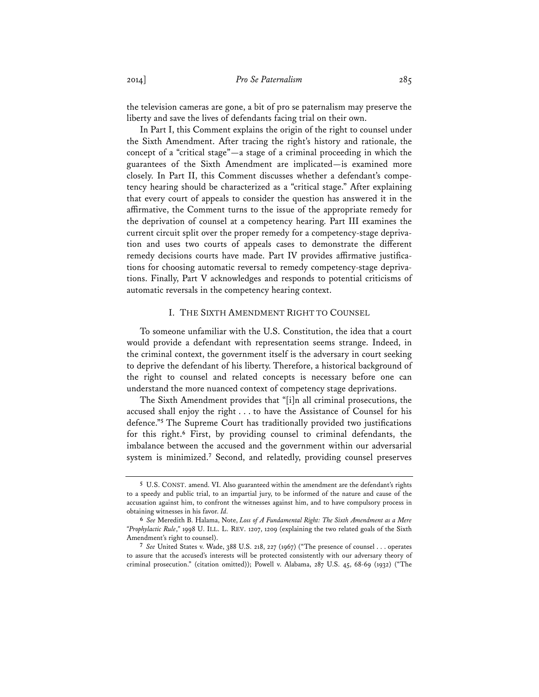the television cameras are gone, a bit of pro se paternalism may preserve the liberty and save the lives of defendants facing trial on their own.

In Part I, this Comment explains the origin of the right to counsel under the Sixth Amendment. After tracing the right's history and rationale, the concept of a "critical stage"—a stage of a criminal proceeding in which the guarantees of the Sixth Amendment are implicated—is examined more closely. In Part II, this Comment discusses whether a defendant's competency hearing should be characterized as a "critical stage." After explaining that every court of appeals to consider the question has answered it in the affirmative, the Comment turns to the issue of the appropriate remedy for the deprivation of counsel at a competency hearing. Part III examines the current circuit split over the proper remedy for a competency-stage deprivation and uses two courts of appeals cases to demonstrate the different remedy decisions courts have made. Part IV provides affirmative justifications for choosing automatic reversal to remedy competency-stage deprivations. Finally, Part V acknowledges and responds to potential criticisms of automatic reversals in the competency hearing context.

### I. THE SIXTH AMENDMENT RIGHT TO COUNSEL

To someone unfamiliar with the U.S. Constitution, the idea that a court would provide a defendant with representation seems strange. Indeed, in the criminal context, the government itself is the adversary in court seeking to deprive the defendant of his liberty. Therefore, a historical background of the right to counsel and related concepts is necessary before one can understand the more nuanced context of competency stage deprivations.

The Sixth Amendment provides that "[i]n all criminal prosecutions, the accused shall enjoy the right . . . to have the Assistance of Counsel for his defence."**<sup>5</sup>** The Supreme Court has traditionally provided two justifications for this right.**<sup>6</sup>** First, by providing counsel to criminal defendants, the imbalance between the accused and the government within our adversarial system is minimized.<sup>7</sup> Second, and relatedly, providing counsel preserves

**<sup>5</sup>** U.S. CONST. amend. VI. Also guaranteed within the amendment are the defendant's rights to a speedy and public trial, to an impartial jury, to be informed of the nature and cause of the accusation against him, to confront the witnesses against him, and to have compulsory process in obtaining witnesses in his favor. *Id.*

**<sup>6</sup>** *See* Meredith B. Halama, Note, *Loss of A Fundamental Right: The Sixth Amendment as a Mere "Prophylactic Rule*,*"* 1998 U. ILL. L. REV. 1207, 1209 (explaining the two related goals of the Sixth Amendment's right to counsel).

**<sup>7</sup>** *See* United States v. Wade, 388 U.S. 218, 227 (1967) ("The presence of counsel . . . operates to assure that the accused's interests will be protected consistently with our adversary theory of criminal prosecution." (citation omitted)); Powell v. Alabama, 287 U.S. 45, 68-69 (1932) ("The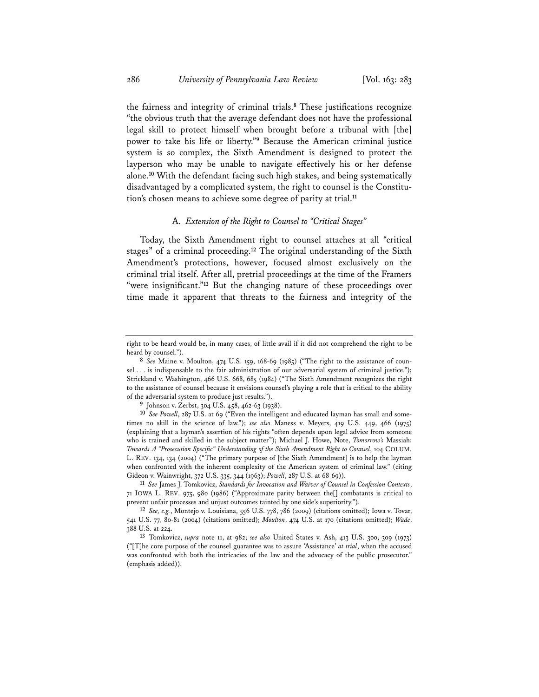the fairness and integrity of criminal trials.**<sup>8</sup>** These justifications recognize "the obvious truth that the average defendant does not have the professional legal skill to protect himself when brought before a tribunal with [the] power to take his life or liberty."**<sup>9</sup>** Because the American criminal justice system is so complex, the Sixth Amendment is designed to protect the layperson who may be unable to navigate effectively his or her defense alone.**<sup>10</sup>** With the defendant facing such high stakes, and being systematically disadvantaged by a complicated system, the right to counsel is the Constitution's chosen means to achieve some degree of parity at trial.**<sup>11</sup>**

## A. *Extension of the Right to Counsel to "Critical Stages"*

Today, the Sixth Amendment right to counsel attaches at all "critical stages" of a criminal proceeding.**<sup>12</sup>** The original understanding of the Sixth Amendment's protections, however, focused almost exclusively on the criminal trial itself. After all, pretrial proceedings at the time of the Framers "were insignificant."**<sup>13</sup>** But the changing nature of these proceedings over time made it apparent that threats to the fairness and integrity of the

right to be heard would be, in many cases, of little avail if it did not comprehend the right to be heard by counsel.").

**<sup>8</sup>** *See* Maine v. Moulton, 474 U.S. 159, 168-69 (1985) ("The right to the assistance of counsel . . . is indispensable to the fair administration of our adversarial system of criminal justice."); Strickland v. Washington, 466 U.S. 668, 685 (1984) ("The Sixth Amendment recognizes the right to the assistance of counsel because it envisions counsel's playing a role that is critical to the ability of the adversarial system to produce just results.").

**<sup>9</sup>** Johnson v. Zerbst, 304 U.S. 458, 462-63 (1938).

**<sup>10</sup>** *See Powell*, 287 U.S. at 69 ("Even the intelligent and educated layman has small and sometimes no skill in the science of law."); *see also* Maness v. Meyers, 419 U.S. 449, 466 (1975) (explaining that a layman's assertion of his rights "often depends upon legal advice from someone who is trained and skilled in the subject matter"); Michael J. Howe, Note, *Tomorrow's* Massiah*: Towards A "Prosecution Specific" Understanding of the Sixth Amendment Right to Counsel*, 104 COLUM. L. REV. 134, 134 (2004) ("The primary purpose of [the Sixth Amendment] is to help the layman when confronted with the inherent complexity of the American system of criminal law." (citing Gideon v. Wainwright, 372 U.S. 335, 344 (1963); *Powell*, 287 U.S. at 68-69)). **<sup>11</sup>** *See* James J. Tomkovicz, *Standards for Invocation and Waiver of Counsel in Confession Contexts*,

<sup>71</sup> IOWA L. REV. 975, 980 (1986) ("Approximate parity between the[] combatants is critical to prevent unfair processes and unjust outcomes tainted by one side's superiority.").

**<sup>12</sup>** *See, e.g.*, Montejo v. Louisiana, 556 U.S. 778, 786 (2009) (citations omitted); Iowa v. Tovar, 541 U.S. 77, 80-81 (2004) (citations omitted); *Moulton*, 474 U.S. at 170 (citations omitted); *Wade*, 388 U.S. at 224.

**<sup>13</sup>** Tomkovicz, *supra* note 11, at 982; *see also* United States v. Ash, 413 U.S. 300, 309 (1973) ("[T]he core purpose of the counsel guarantee was to assure 'Assistance' *at trial*, when the accused was confronted with both the intricacies of the law and the advocacy of the public prosecutor." (emphasis added)).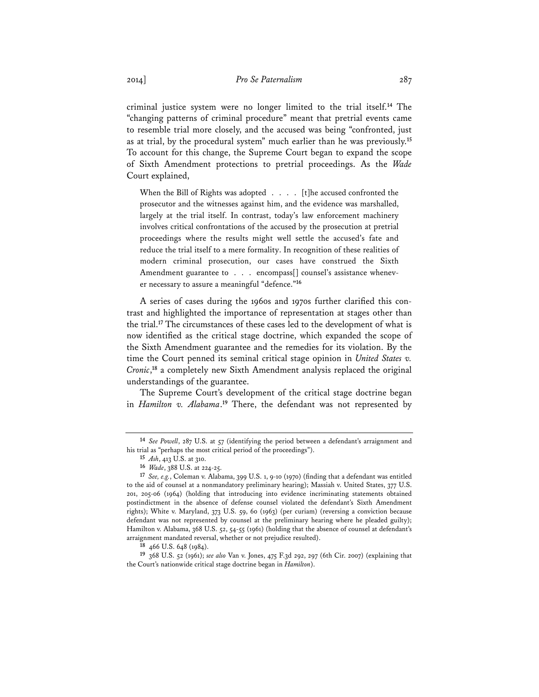criminal justice system were no longer limited to the trial itself.**<sup>14</sup>** The "changing patterns of criminal procedure" meant that pretrial events came to resemble trial more closely, and the accused was being "confronted, just as at trial, by the procedural system" much earlier than he was previously.**<sup>15</sup>** To account for this change, the Supreme Court began to expand the scope of Sixth Amendment protections to pretrial proceedings. As the *Wade* Court explained,

When the Bill of Rights was adopted . . . . [t]he accused confronted the prosecutor and the witnesses against him, and the evidence was marshalled, largely at the trial itself. In contrast, today's law enforcement machinery involves critical confrontations of the accused by the prosecution at pretrial proceedings where the results might well settle the accused's fate and reduce the trial itself to a mere formality. In recognition of these realities of modern criminal prosecution, our cases have construed the Sixth Amendment guarantee to . . . encompass<sup>[]</sup> counsel's assistance whenever necessary to assure a meaningful "defence."**<sup>16</sup>**

A series of cases during the 1960s and 1970s further clarified this contrast and highlighted the importance of representation at stages other than the trial.**<sup>17</sup>** The circumstances of these cases led to the development of what is now identified as the critical stage doctrine, which expanded the scope of the Sixth Amendment guarantee and the remedies for its violation. By the time the Court penned its seminal critical stage opinion in *United States v. Cronic*, **<sup>18</sup>** a completely new Sixth Amendment analysis replaced the original understandings of the guarantee.

The Supreme Court's development of the critical stage doctrine began in *Hamilton v. Alabama*. **<sup>19</sup>** There, the defendant was not represented by

**<sup>14</sup>** *See Powell*, 287 U.S. at 57 (identifying the period between a defendant's arraignment and his trial as "perhaps the most critical period of the proceedings").

**<sup>15</sup>** *Ash*, 413 U.S. at 310.

**<sup>16</sup>** *Wade*, 388 U.S. at 224-25.

**<sup>17</sup>** *See, e.g.*, Coleman v. Alabama, 399 U.S. 1, 9-10 (1970) (finding that a defendant was entitled to the aid of counsel at a nonmandatory preliminary hearing); Massiah v. United States, 377 U.S. 201, 205-06 (1964) (holding that introducing into evidence incriminating statements obtained postindictment in the absence of defense counsel violated the defendant's Sixth Amendment rights); White v. Maryland, 373 U.S. 59, 60 (1963) (per curiam) (reversing a conviction because defendant was not represented by counsel at the preliminary hearing where he pleaded guilty); Hamilton v. Alabama, 368 U.S. 52, 54-55 (1961) (holding that the absence of counsel at defendant's arraignment mandated reversal, whether or not prejudice resulted).

**<sup>18</sup>** 466 U.S. 648 (1984).

**<sup>19</sup>** 368 U.S. 52 (1961); *see also* Van v. Jones, 475 F.3d 292, 297 (6th Cir. 2007) (explaining that the Court's nationwide critical stage doctrine began in *Hamilton*).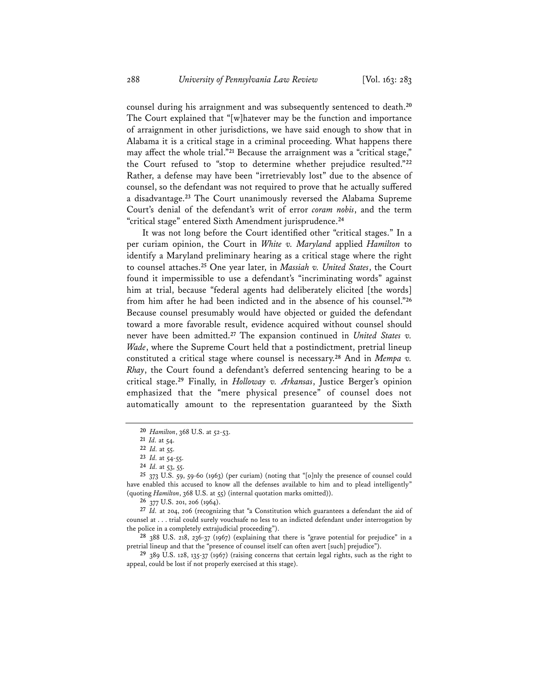counsel during his arraignment and was subsequently sentenced to death.**<sup>20</sup>** The Court explained that "[w]hatever may be the function and importance of arraignment in other jurisdictions, we have said enough to show that in Alabama it is a critical stage in a criminal proceeding. What happens there may affect the whole trial."**<sup>21</sup>** Because the arraignment was a "critical stage," the Court refused to "stop to determine whether prejudice resulted."**<sup>22</sup>** Rather, a defense may have been "irretrievably lost" due to the absence of counsel, so the defendant was not required to prove that he actually suffered a disadvantage.**<sup>23</sup>** The Court unanimously reversed the Alabama Supreme Court's denial of the defendant's writ of error *coram nobis*, and the term "critical stage" entered Sixth Amendment jurisprudence.**<sup>24</sup>**

 It was not long before the Court identified other "critical stages." In a per curiam opinion, the Court in *White v. Maryland* applied *Hamilton* to identify a Maryland preliminary hearing as a critical stage where the right to counsel attaches.**<sup>25</sup>** One year later, in *Massiah v. United States*, the Court found it impermissible to use a defendant's "incriminating words" against him at trial, because "federal agents had deliberately elicited [the words] from him after he had been indicted and in the absence of his counsel."**<sup>26</sup>** Because counsel presumably would have objected or guided the defendant toward a more favorable result, evidence acquired without counsel should never have been admitted.**<sup>27</sup>** The expansion continued in *United States v. Wade*, where the Supreme Court held that a postindictment, pretrial lineup constituted a critical stage where counsel is necessary.**<sup>28</sup>** And in *Mempa v. Rhay*, the Court found a defendant's deferred sentencing hearing to be a critical stage.**<sup>29</sup>** Finally, in *Holloway v. Arkansas*, Justice Berger's opinion emphasized that the "mere physical presence" of counsel does not automatically amount to the representation guaranteed by the Sixth

**<sup>20</sup>** *Hamilton*, 368 U.S. at 52-53.

**<sup>21</sup>** *Id.* at 54.

**<sup>22</sup>** *Id.* at 55.

**<sup>23</sup>** *Id.* at 54-55.

**<sup>24</sup>** *Id.* at 53, 55.

**<sup>25</sup>** 373 U.S. 59, 59-60 (1963) (per curiam) (noting that "[o]nly the presence of counsel could have enabled this accused to know all the defenses available to him and to plead intelligently" (quoting *Hamilton*, 368 U.S. at 55) (internal quotation marks omitted)).

**<sup>26</sup>** 377 U.S. 201, 206 (1964).

**<sup>27</sup>** *Id.* at 204, 206 (recognizing that "a Constitution which guarantees a defendant the aid of counsel at . . . trial could surely vouchsafe no less to an indicted defendant under interrogation by the police in a completely extrajudicial proceeding").

**<sup>28</sup>** 388 U.S. 218, 236-37 (1967) (explaining that there is "grave potential for prejudice" in a pretrial lineup and that the "presence of counsel itself can often avert [such] prejudice").

**<sup>29</sup>** 389 U.S. 128, 135-37 (1967) (raising concerns that certain legal rights, such as the right to appeal, could be lost if not properly exercised at this stage).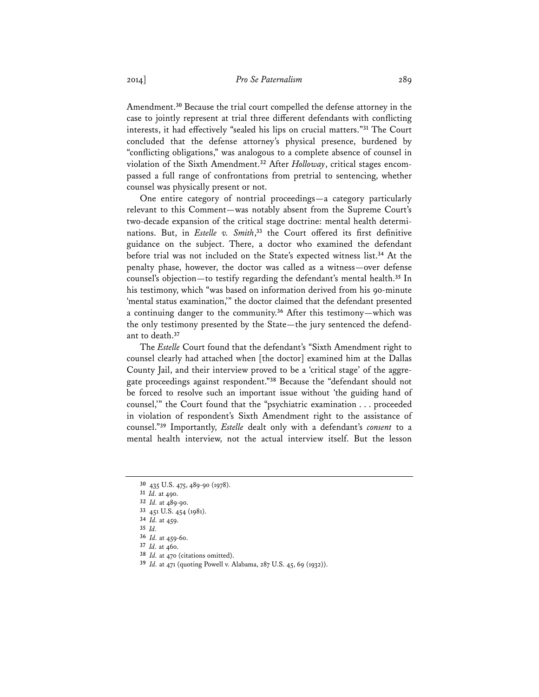Amendment.**<sup>30</sup>** Because the trial court compelled the defense attorney in the case to jointly represent at trial three different defendants with conflicting interests, it had effectively "sealed his lips on crucial matters."**<sup>31</sup>** The Court concluded that the defense attorney's physical presence, burdened by "conflicting obligations," was analogous to a complete absence of counsel in violation of the Sixth Amendment.**<sup>32</sup>** After *Holloway*, critical stages encompassed a full range of confrontations from pretrial to sentencing, whether counsel was physically present or not.

One entire category of nontrial proceedings—a category particularly relevant to this Comment—was notably absent from the Supreme Court's two-decade expansion of the critical stage doctrine: mental health determinations. But, in *Estelle v. Smith*, **<sup>33</sup>** the Court offered its first definitive guidance on the subject. There, a doctor who examined the defendant before trial was not included on the State's expected witness list.**<sup>34</sup>** At the penalty phase, however, the doctor was called as a witness—over defense counsel's objection—to testify regarding the defendant's mental health.**<sup>35</sup>** In his testimony, which "was based on information derived from his 90-minute 'mental status examination,'" the doctor claimed that the defendant presented a continuing danger to the community.**<sup>36</sup>** After this testimony—which was the only testimony presented by the State—the jury sentenced the defendant to death.**<sup>37</sup>**

The *Estelle* Court found that the defendant's "Sixth Amendment right to counsel clearly had attached when [the doctor] examined him at the Dallas County Jail, and their interview proved to be a 'critical stage' of the aggregate proceedings against respondent."**<sup>38</sup>** Because the "defendant should not be forced to resolve such an important issue without 'the guiding hand of counsel,'" the Court found that the "psychiatric examination . . . proceeded in violation of respondent's Sixth Amendment right to the assistance of counsel."**<sup>39</sup>** Importantly, *Estelle* dealt only with a defendant's *consent* to a mental health interview, not the actual interview itself. But the lesson

**<sup>30</sup>** 435 U.S. 475, 489-90 (1978).

**<sup>31</sup>** *Id.* at 490.

**<sup>32</sup>** *Id.* at 489-90.

**<sup>33</sup>** 451 U.S. 454 (1981).

**<sup>34</sup>** *Id.* at 459.

**<sup>35</sup>** *Id.*

**<sup>36</sup>** *Id.* at 459-60.

**<sup>37</sup>** *Id.* at 460.

**<sup>38</sup>** *Id.* at 470 (citations omitted).

**<sup>39</sup>** *Id.* at 471 (quoting Powell v. Alabama, 287 U.S. 45, 69 (1932)).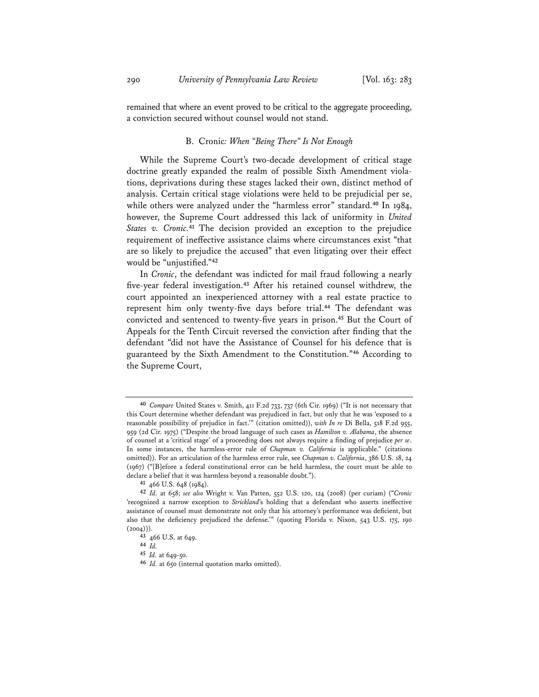remained that where an event proved to be critical to the aggregate proceeding, a conviction secured without counsel would not stand.

## B. Cronic*: When "Being There" Is Not Enough*

While the Supreme Court's two-decade development of critical stage doctrine greatly expanded the realm of possible Sixth Amendment violations, deprivations during these stages lacked their own, distinct method of analysis. Certain critical stage violations were held to be prejudicial per se, while others were analyzed under the "harmless error" standard.**<sup>40</sup>** In 1984, however, the Supreme Court addressed this lack of uniformity in *United States v. Cronic.***<sup>41</sup>** The decision provided an exception to the prejudice requirement of ineffective assistance claims where circumstances exist "that are so likely to prejudice the accused" that even litigating over their effect would be "unjustified."**<sup>42</sup>**

In *Cronic*, the defendant was indicted for mail fraud following a nearly five-year federal investigation.**<sup>43</sup>** After his retained counsel withdrew, the court appointed an inexperienced attorney with a real estate practice to represent him only twenty-five days before trial.**<sup>44</sup>** The defendant was convicted and sentenced to twenty-five years in prison.**<sup>45</sup>** But the Court of Appeals for the Tenth Circuit reversed the conviction after finding that the defendant "did not have the Assistance of Counsel for his defence that is guaranteed by the Sixth Amendment to the Constitution."**<sup>46</sup>** According to the Supreme Court,

**<sup>40</sup>** *Compare* United States v. Smith, 411 F.2d 733, 737 (6th Cir. 1969) ("It is not necessary that this Court determine whether defendant was prejudiced in fact, but only that he was 'exposed to a reasonable possibility of prejudice in fact.'" (citation omitted)), *with In re* Di Bella, 518 F.2d 955, 959 (2d Cir. 1975) ("Despite the broad language of such cases as *Hamilton v. Alabama*, the absence of counsel at a 'critical stage' of a proceeding does not always require a finding of prejudice *per se*. In some instances, the harmless-error rule of *Chapman v. California* is applicable." (citations omitted)). For an articulation of the harmless error rule, see *Chapman v. California*, 386 U.S. 18, 24 (1967) ("[B]efore a federal constitutional error can be held harmless, the court must be able to declare a belief that it was harmless beyond a reasonable doubt."). **41** 466 U.S. 648 (1984).

**<sup>42</sup>** *Id.* at 658; *see also* Wright v. Van Patten, 552 U.S. 120, 124 (2008) (per curiam) ("*Cronic* 'recognized a narrow exception to *Strickland*'s holding that a defendant who asserts ineffective assistance of counsel must demonstrate not only that his attorney's performance was deficient, but also that the deficiency prejudiced the defense.'" (quoting Florida v. Nixon, 543 U.S. 175, 190  $(2004))$ .

**<sup>43</sup>** 466 U.S. at 649.

**<sup>44</sup>** *Id.* **<sup>45</sup>** *Id.* at 649-50.

**<sup>46</sup>** *Id.* at 650 (internal quotation marks omitted).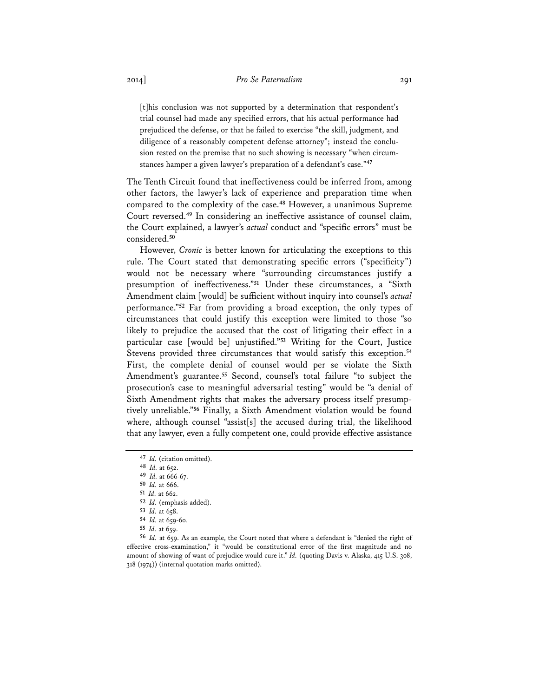[t]his conclusion was not supported by a determination that respondent's trial counsel had made any specified errors, that his actual performance had prejudiced the defense, or that he failed to exercise "the skill, judgment, and diligence of a reasonably competent defense attorney"; instead the conclusion rested on the premise that no such showing is necessary "when circumstances hamper a given lawyer's preparation of a defendant's case."**<sup>47</sup>**

The Tenth Circuit found that ineffectiveness could be inferred from, among other factors, the lawyer's lack of experience and preparation time when compared to the complexity of the case.**<sup>48</sup>** However, a unanimous Supreme Court reversed.**<sup>49</sup>** In considering an ineffective assistance of counsel claim, the Court explained, a lawyer's *actual* conduct and "specific errors" must be considered.**<sup>50</sup>**

However, *Cronic* is better known for articulating the exceptions to this rule. The Court stated that demonstrating specific errors ("specificity") would not be necessary where "surrounding circumstances justify a presumption of ineffectiveness."**<sup>51</sup>** Under these circumstances, a "Sixth Amendment claim [would] be sufficient without inquiry into counsel's *actual* performance."**<sup>52</sup>** Far from providing a broad exception, the only types of circumstances that could justify this exception were limited to those "so likely to prejudice the accused that the cost of litigating their effect in a particular case [would be] unjustified."**<sup>53</sup>** Writing for the Court, Justice Stevens provided three circumstances that would satisfy this exception.**<sup>54</sup>** First, the complete denial of counsel would per se violate the Sixth Amendment's guarantee.**<sup>55</sup>** Second, counsel's total failure "to subject the prosecution's case to meaningful adversarial testing" would be "a denial of Sixth Amendment rights that makes the adversary process itself presumptively unreliable."**<sup>56</sup>** Finally, a Sixth Amendment violation would be found where, although counsel "assist[s] the accused during trial, the likelihood that any lawyer, even a fully competent one, could provide effective assistance

**<sup>47</sup>** *Id.* (citation omitted).

**<sup>48</sup>** *Id.* at 652.

**<sup>49</sup>** *Id.* at 666-67.

**<sup>50</sup>** *Id.* at 666.

<sup>52</sup> *Id.* (emphasis added).

**<sup>53</sup>** *Id.* at 658.

**<sup>54</sup>** *Id.* at 659-60.

**<sup>55</sup>** *Id.* at 659.

**<sup>56</sup>** *Id.* at 659. As an example, the Court noted that where a defendant is "denied the right of effective cross-examination," it "would be constitutional error of the first magnitude and no amount of showing of want of prejudice would cure it." *Id.* (quoting Davis v. Alaska, 415 U.S. 308, 318 (1974)) (internal quotation marks omitted).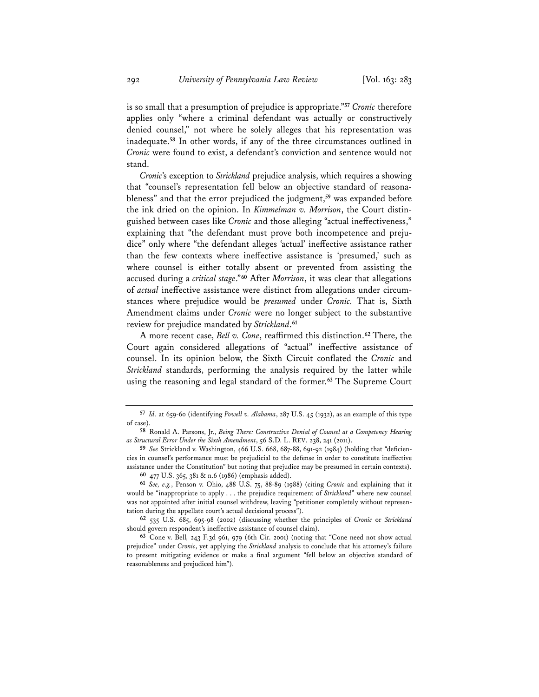is so small that a presumption of prejudice is appropriate."**<sup>57</sup>** *Cronic* therefore applies only "where a criminal defendant was actually or constructively denied counsel," not where he solely alleges that his representation was inadequate.**<sup>58</sup>** In other words, if any of the three circumstances outlined in *Cronic* were found to exist, a defendant's conviction and sentence would not stand.

*Cronic*'s exception to *Strickland* prejudice analysis, which requires a showing that "counsel's representation fell below an objective standard of reasonableness" and that the error prejudiced the judgment,**<sup>59</sup>** was expanded before the ink dried on the opinion. In *Kimmelman v. Morrison*, the Court distinguished between cases like *Cronic* and those alleging "actual ineffectiveness," explaining that "the defendant must prove both incompetence and prejudice" only where "the defendant alleges 'actual' ineffective assistance rather than the few contexts where ineffective assistance is 'presumed,' such as where counsel is either totally absent or prevented from assisting the accused during a *critical stage*."**<sup>60</sup>** After *Morrison*, it was clear that allegations of *actual* ineffective assistance were distinct from allegations under circumstances where prejudice would be *presumed* under *Cronic.* That is, Sixth Amendment claims under *Cronic* were no longer subject to the substantive review for prejudice mandated by *Strickland*. **61**

A more recent case, *Bell v. Cone*, reaffirmed this distinction.**<sup>62</sup>** There, the Court again considered allegations of "actual" ineffective assistance of counsel. In its opinion below, the Sixth Circuit conflated the *Cronic* and *Strickland* standards, performing the analysis required by the latter while using the reasoning and legal standard of the former.**<sup>63</sup>** The Supreme Court

**<sup>57</sup>** *Id.* at 659-60 (identifying *Powell v. Alabama*, 287 U.S. 45 (1932), as an example of this type of case).

**<sup>58</sup>** Ronald A. Parsons, Jr., *Being There: Constructive Denial of Counsel at a Competency Hearing as Structural Error Under the Sixth Amendment*, 56 S.D. L. REV. 238, 241 (2011).

**<sup>59</sup>** *See* Strickland v. Washington, 466 U.S. 668, 687-88, 691-92 (1984) (holding that "deficiencies in counsel's performance must be prejudicial to the defense in order to constitute ineffective assistance under the Constitution" but noting that prejudice may be presumed in certain contexts). **<sup>60</sup>** 477 U.S. 365, 381 & n.6 (1986) (emphasis added).

**<sup>61</sup>** *See, e.g.*, Penson v. Ohio, 488 U.S. 75, 88-89 (1988) (citing *Cronic* and explaining that it would be "inappropriate to apply . . . the prejudice requirement of *Strickland*" where new counsel was not appointed after initial counsel withdrew, leaving "petitioner completely without representation during the appellate court's actual decisional process").

**<sup>62</sup>** 535 U.S. 685, 695-98 (2002) (discussing whether the principles of *Cronic* or *Strickland* should govern respondent's ineffective assistance of counsel claim).

**<sup>63</sup>** Cone v. Bell*,* 243 F.3d 961, 979 (6th Cir. 2001) (noting that "Cone need not show actual prejudice" under *Cronic*, yet applying the *Strickland* analysis to conclude that his attorney's failure to present mitigating evidence or make a final argument "fell below an objective standard of reasonableness and prejudiced him").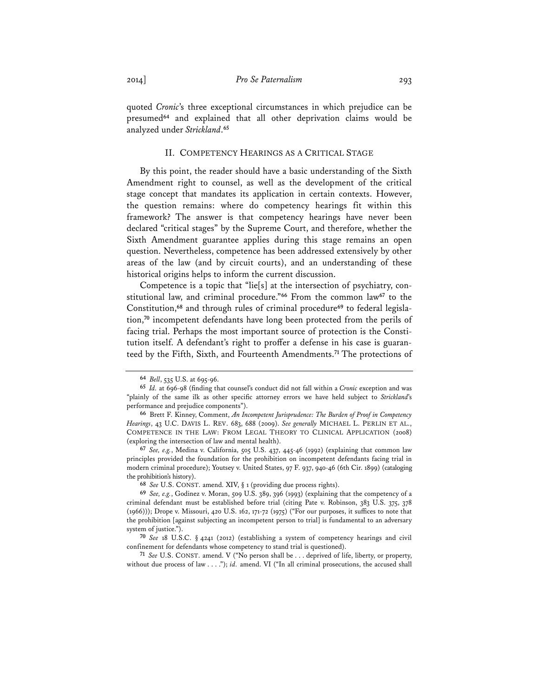quoted *Cronic*'s three exceptional circumstances in which prejudice can be presumed**<sup>64</sup>** and explained that all other deprivation claims would be analyzed under *Strickland*. **65**

## II. COMPETENCY HEARINGS AS A CRITICAL STAGE

By this point, the reader should have a basic understanding of the Sixth Amendment right to counsel, as well as the development of the critical stage concept that mandates its application in certain contexts. However, the question remains: where do competency hearings fit within this framework? The answer is that competency hearings have never been declared "critical stages" by the Supreme Court, and therefore, whether the Sixth Amendment guarantee applies during this stage remains an open question. Nevertheless, competence has been addressed extensively by other areas of the law (and by circuit courts), and an understanding of these historical origins helps to inform the current discussion.

Competence is a topic that "lie[s] at the intersection of psychiatry, constitutional law, and criminal procedure."**<sup>66</sup>** From the common law**<sup>67</sup>** to the Constitution,**<sup>68</sup>** and through rules of criminal procedure**<sup>69</sup>** to federal legislation,**<sup>70</sup>** incompetent defendants have long been protected from the perils of facing trial. Perhaps the most important source of protection is the Constitution itself. A defendant's right to proffer a defense in his case is guaranteed by the Fifth, Sixth, and Fourteenth Amendments.**<sup>71</sup>** The protections of

**<sup>64</sup>** *Bell*, 535 U.S. at 695-96.

**<sup>65</sup>** *Id.* at 696-98 (finding that counsel's conduct did not fall within a *Cronic* exception and was "plainly of the same ilk as other specific attorney errors we have held subject to *Strickland*'s performance and prejudice components").

**<sup>66</sup>** Brett F. Kinney, Comment, *An Incompetent Jurisprudence: The Burden of Proof in Competency Hearings*, 43 U.C. DAVIS L. REV. 683, 688 (2009). *See generally* MICHAEL L. PERLIN ET AL., COMPETENCE IN THE LAW: FROM LEGAL THEORY TO CLINICAL APPLICATION (2008) (exploring the intersection of law and mental health).

**<sup>67</sup>** *See, e.g.*, Medina v. California, 505 U.S. 437, 445-46 (1992) (explaining that common law principles provided the foundation for the prohibition on incompetent defendants facing trial in modern criminal procedure); Youtsey v. United States, 97 F. 937, 940-46 (6th Cir. 1899) (cataloging the prohibition's history).

**<sup>68</sup>** *See* U.S. CONST. amend. XIV, § 1 (providing due process rights).

**<sup>69</sup>** *See, e.g.*, Godinez v. Moran, 509 U.S. 389, 396 (1993) (explaining that the competency of a criminal defendant must be established before trial (citing Pate v. Robinson, 383 U.S. 375, 378 (1966))); Drope v. Missouri, 420 U.S. 162, 171-72 (1975) ("For our purposes, it suffices to note that the prohibition [against subjecting an incompetent person to trial] is fundamental to an adversary system of justice.").

**<sup>70</sup>** *See* 18 U.S.C. § 4241 (2012) (establishing a system of competency hearings and civil confinement for defendants whose competency to stand trial is questioned).

**<sup>71</sup>** *See* U.S. CONST. amend. V ("No person shall be . . . deprived of life, liberty, or property, without due process of law . . . ."); *id.* amend. VI ("In all criminal prosecutions, the accused shall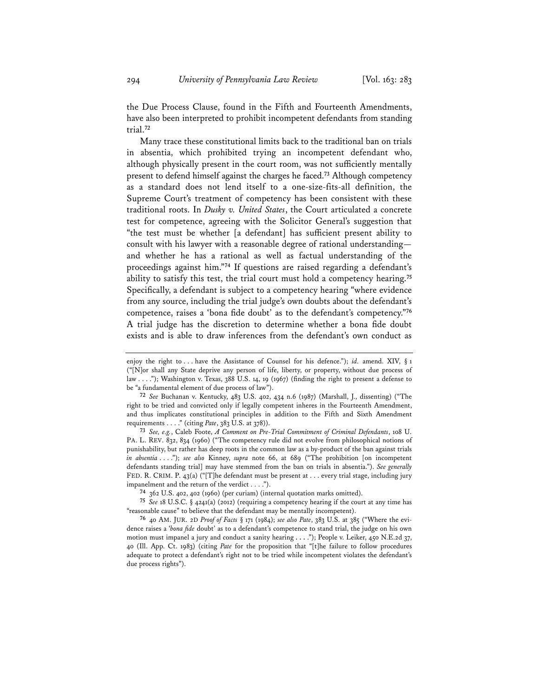the Due Process Clause, found in the Fifth and Fourteenth Amendments, have also been interpreted to prohibit incompetent defendants from standing trial.**<sup>72</sup>**

Many trace these constitutional limits back to the traditional ban on trials in absentia, which prohibited trying an incompetent defendant who, although physically present in the court room, was not sufficiently mentally present to defend himself against the charges he faced.**<sup>73</sup>** Although competency as a standard does not lend itself to a one-size-fits-all definition, the Supreme Court's treatment of competency has been consistent with these traditional roots. In *Dusky v. United States*, the Court articulated a concrete test for competence, agreeing with the Solicitor General's suggestion that "the test must be whether [a defendant] has sufficient present ability to consult with his lawyer with a reasonable degree of rational understanding and whether he has a rational as well as factual understanding of the proceedings against him."**<sup>74</sup>** If questions are raised regarding a defendant's ability to satisfy this test, the trial court must hold a competency hearing.**<sup>75</sup>** Specifically, a defendant is subject to a competency hearing "where evidence from any source, including the trial judge's own doubts about the defendant's competence, raises a 'bona fide doubt' as to the defendant's competency."**<sup>76</sup>** A trial judge has the discretion to determine whether a bona fide doubt exists and is able to draw inferences from the defendant's own conduct as

**<sup>73</sup>** *See, e.g.*, Caleb Foote, *A Comment on Pre-Trial Commitment of Criminal Defendants*, 108 U. PA. L. REV. 832, 834 (1960) ("The competency rule did not evolve from philosophical notions of punishability, but rather has deep roots in the common law as a by-product of the ban against trials *in absentia* . . . ."); *see also* Kinney, *supra* note 66, at 689 ("The prohibition [on incompetent defendants standing trial] may have stemmed from the ban on trials in absentia."). *See generally* FED. R. CRIM. P. 43(a) ("[T]he defendant must be present at . . . every trial stage, including jury impanelment and the return of the verdict . . . .").

**<sup>74</sup>** 362 U.S. 402, 402 (1960) (per curiam) (internal quotation marks omitted).

**<sup>75</sup>** *See* 18 U.S.C. § 4241(a) (2012) (requiring a competency hearing if the court at any time has "reasonable cause" to believe that the defendant may be mentally incompetent).

**<sup>76</sup>** 40 AM. JUR. 2D *Proof of Facts* § 171 (1984); *see also Pate*, 383 U.S. at 385 ("Where the evidence raises a '*bona fide* doubt' as to a defendant's competence to stand trial, the judge on his own motion must impanel a jury and conduct a sanity hearing **. . .** ."); People v. Leiker, 450 N.E.2d 37, 40 (Ill. App. Ct. 1983) (citing *Pate* for the proposition that "[t]he failure to follow procedures adequate to protect a defendant's right not to be tried while incompetent violates the defendant's due process rights").

enjoy the right to . . . have the Assistance of Counsel for his defence."); *id.* amend. XIV, § 1 ("[N]or shall any State deprive any person of life, liberty, or property, without due process of law . . . ."); Washington v. Texas, 388 U.S. 14, 19 (1967) (finding the right to present a defense to be "a fundamental element of due process of law").

**<sup>72</sup>** *See* Buchanan v. Kentucky, 483 U.S. 402, 434 n.6 (1987) (Marshall, J., dissenting) ("The right to be tried and convicted only if legally competent inheres in the Fourteenth Amendment, and thus implicates constitutional principles in addition to the Fifth and Sixth Amendment requirements . . . ." (citing *Pate*, 383 U.S. at 378)).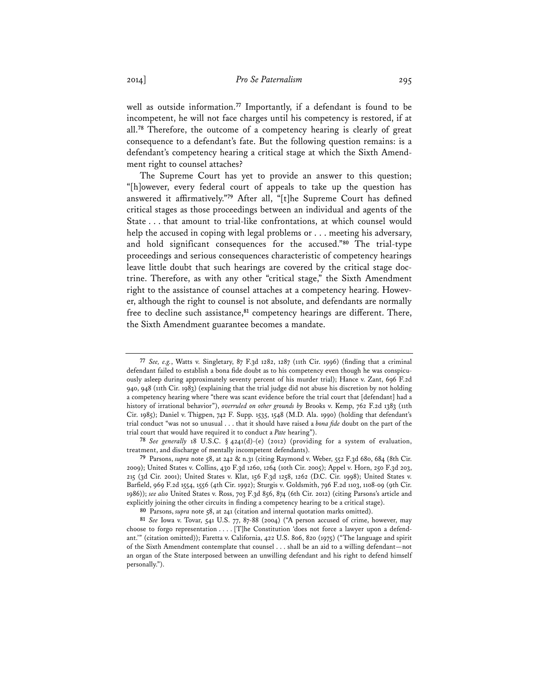well as outside information.**<sup>77</sup>** Importantly, if a defendant is found to be incompetent, he will not face charges until his competency is restored, if at all.**<sup>78</sup>** Therefore, the outcome of a competency hearing is clearly of great consequence to a defendant's fate. But the following question remains: is a defendant's competency hearing a critical stage at which the Sixth Amendment right to counsel attaches?

The Supreme Court has yet to provide an answer to this question; "[h]owever, every federal court of appeals to take up the question has answered it affirmatively."**<sup>79</sup>** After all, "[t]he Supreme Court has defined critical stages as those proceedings between an individual and agents of the State . . . that amount to trial-like confrontations, at which counsel would help the accused in coping with legal problems or . . . meeting his adversary, and hold significant consequences for the accused."**<sup>80</sup>** The trial-type proceedings and serious consequences characteristic of competency hearings leave little doubt that such hearings are covered by the critical stage doctrine. Therefore, as with any other "critical stage," the Sixth Amendment right to the assistance of counsel attaches at a competency hearing. However, although the right to counsel is not absolute, and defendants are normally free to decline such assistance,**<sup>81</sup>** competency hearings are different. There, the Sixth Amendment guarantee becomes a mandate.

**<sup>77</sup>** *See, e.g.*, Watts v. Singletary, 87 F.3d 1282, 1287 (11th Cir. 1996) (finding that a criminal defendant failed to establish a bona fide doubt as to his competency even though he was conspicuously asleep during approximately seventy percent of his murder trial); Hance v. Zant, 696 F.2d 940, 948 (11th Cir. 1983) (explaining that the trial judge did not abuse his discretion by not holding a competency hearing where "there was scant evidence before the trial court that [defendant] had a history of irrational behavior"), *overruled on other grounds by* Brooks v. Kemp, 762 F.2d 1383 (11th Cir. 1985); Daniel v. Thigpen, 742 F. Supp. 1535, 1548 (M.D. Ala. 1990) (holding that defendant's trial conduct "was not so unusual . . . that it should have raised a *bona fide* doubt on the part of the trial court that would have required it to conduct a *Pate* hearing").

**<sup>78</sup>** *See generally* 18 U.S.C. § 4241(d)-(e) (2012) (providing for a system of evaluation, treatment, and discharge of mentally incompetent defendants).

**<sup>79</sup>** Parsons, *supra* note 58, at 242 & n.31 (citing Raymond v. Weber, 552 F.3d 680, 684 (8th Cir. 2009); United States v. Collins, 430 F.3d 1260, 1264 (10th Cir. 2005); Appel v. Horn, 250 F.3d 203, 215 (3d Cir. 2001); United States v. Klat, 156 F.3d 1258, 1262 (D.C. Cir. 1998); United States v. Barfield, 969 F.2d 1554, 1556 (4th Cir. 1992); Sturgis v. Goldsmith, 796 F.2d 1103, 1108-09 (9th Cir. 1986)); *see also* United States v. Ross, 703 F.3d 856, 874 (6th Cir. 2012) (citing Parsons's article and explicitly joining the other circuits in finding a competency hearing to be a critical stage).

**<sup>80</sup>** Parsons, *supra* note 58, at 241 (citation and internal quotation marks omitted).**<sup>81</sup>** *See* Iowa v. Tovar, 541 U.S. 77, 87-88 (2004) ("A person accused of crime, however, may choose to forgo representation . . . . [T]he Constitution 'does not force a lawyer upon a defendant.'" (citation omitted)); Faretta v. California, 422 U.S. 806, 820 (1975) ("The language and spirit of the Sixth Amendment contemplate that counsel . . . shall be an aid to a willing defendant—not an organ of the State interposed between an unwilling defendant and his right to defend himself personally.").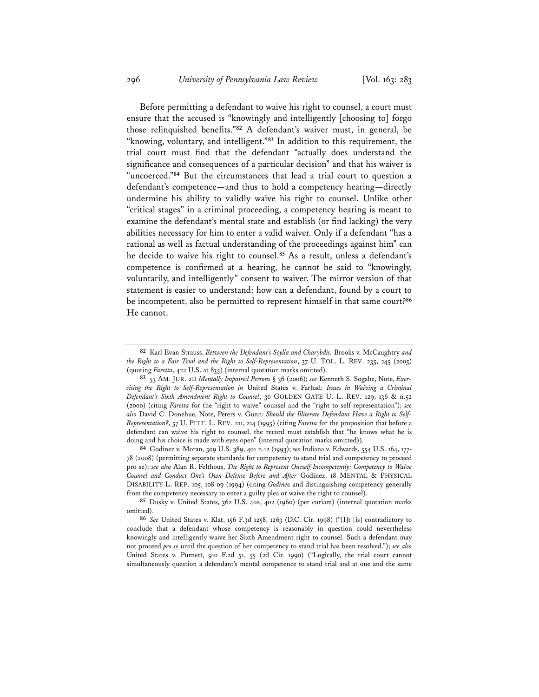Before permitting a defendant to waive his right to counsel, a court must ensure that the accused is "knowingly and intelligently [choosing to] forgo those relinquished benefits."**<sup>82</sup>** A defendant's waiver must, in general, be "knowing, voluntary, and intelligent."**<sup>83</sup>** In addition to this requirement, the trial court must find that the defendant "actually does understand the significance and consequences of a particular decision" and that his waiver is "uncoerced."**<sup>84</sup>** But the circumstances that lead a trial court to question a defendant's competence—and thus to hold a competency hearing—directly undermine his ability to validly waive his right to counsel. Unlike other "critical stages" in a criminal proceeding, a competency hearing is meant to examine the defendant's mental state and establish (or find lacking) the very abilities necessary for him to enter a valid waiver. Only if a defendant "has a rational as well as factual understanding of the proceedings against him" can he decide to waive his right to counsel.**<sup>85</sup>** As a result, unless a defendant's competence is confirmed at a hearing, he cannot be said to "knowingly, voluntarily, and intelligently" consent to waiver. The mirror version of that statement is easier to understand: how can a defendant, found by a court to be incompetent, also be permitted to represent himself in that same court?**<sup>86</sup>** He cannot.

**<sup>84</sup>** Godinez v. Moran, 509 U.S. 389, 401 n.12 (1993); *see* Indiana v. Edwards, 554 U.S. 164, 177- 78 (2008) (permitting separate standards for competency to stand trial and competency to proceed pro se); *see also* Alan R. Felthous, *The Right to Represent Oneself Incompetently: Competency to Waive Counsel and Conduct One's Own Defense Before and After* Godinez, 18 MENTAL & PHYSICAL DISABILITY L. REP. 105, 108-09 (1994) (citing *Godinez* and distinguishing competency generally from the competency necessary to enter a guilty plea or waive the right to counsel).

**<sup>85</sup>** Dusky v. United States, 362 U.S. 402, 402 (1960) (per curiam) (internal quotation marks omitted).

**<sup>86</sup>** *See* United States v. Klat, 156 F.3d 1258, 1263 (D.C. Cir. 1998) ("[I]t [is] contradictory to conclude that a defendant whose competency is reasonably in question could nevertheless knowingly and intelligently waive her Sixth Amendment right to counsel. Such a defendant may not proceed *pro se* until the question of her competency to stand trial has been resolved."); *see also* United States v. Purnett, 910 F.2d 51, 55 (2d Cir. 1990) ("Logically, the trial court cannot simultaneously question a defendant's mental competence to stand trial and at one and the same

**<sup>82</sup>** Karl Evan Strauss, *Between the Defendant's Scylla and Charybdis:* Brooks v. McCaughtry *and the Right to a Fair Trial and the Right to Self-Representation*, 37 U. TOL. L. REV. 235, 245 (2005) (quoting *Faretta*, 422 U.S. at 835) (internal quotation marks omitted).

**<sup>83</sup>** 53 AM. JUR. 2D *Mentally Impaired Persons* § 36 (2006); *see* Kenneth S. Sogabe, Note, *Exercising the Right to Self-Representation in* United States v. Farhad*: Issues in Waiving a Criminal Defendant's Sixth Amendment Right to Counsel*, 30 GOLDEN GATE U. L. REV. 129, 136 & n.52 (2000) (citing *Faretta* for the "right to waive" counsel and the "right to self-representation"); *see also* David C. Donehue, Note, Peters v. Gunn*: Should the Illiterate Defendant Have a Right to Self-Representation?*, 57 U. PITT. L. REV. 211, 214 (1995) (citing *Faretta* for the proposition that before a defendant can waive his right to counsel, the record must establish that "he knows what he is doing and his choice is made with eyes open" (internal quotation marks omitted)).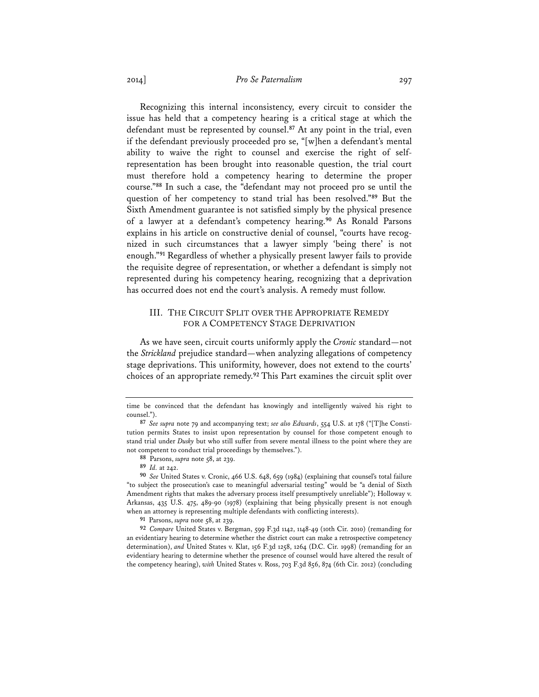2014] *Pro Se Paternalism* 297

Recognizing this internal inconsistency, every circuit to consider the issue has held that a competency hearing is a critical stage at which the defendant must be represented by counsel.**<sup>87</sup>** At any point in the trial, even if the defendant previously proceeded pro se, "[w]hen a defendant's mental ability to waive the right to counsel and exercise the right of selfrepresentation has been brought into reasonable question, the trial court must therefore hold a competency hearing to determine the proper course."**<sup>88</sup>** In such a case, the "defendant may not proceed pro se until the question of her competency to stand trial has been resolved."**<sup>89</sup>** But the Sixth Amendment guarantee is not satisfied simply by the physical presence of a lawyer at a defendant's competency hearing.**<sup>90</sup>** As Ronald Parsons explains in his article on constructive denial of counsel, "courts have recognized in such circumstances that a lawyer simply 'being there' is not enough."**<sup>91</sup>** Regardless of whether a physically present lawyer fails to provide the requisite degree of representation, or whether a defendant is simply not represented during his competency hearing, recognizing that a deprivation has occurred does not end the court's analysis. A remedy must follow.

## III. THE CIRCUIT SPLIT OVER THE APPROPRIATE REMEDY FOR A COMPETENCY STAGE DEPRIVATION

As we have seen, circuit courts uniformly apply the *Cronic* standard—not the *Strickland* prejudice standard—when analyzing allegations of competency stage deprivations. This uniformity, however, does not extend to the courts' choices of an appropriate remedy.**<sup>92</sup>** This Part examines the circuit split over

**<sup>88</sup>** Parsons, *supra* note 58, at 239.

time be convinced that the defendant has knowingly and intelligently waived his right to counsel.").

**<sup>87</sup>** *See supra* note 79 and accompanying text; *see also Edwards*, 554 U.S. at 178 ("[T]he Constitution permits States to insist upon representation by counsel for those competent enough to stand trial under *Dusky* but who still suffer from severe mental illness to the point where they are not competent to conduct trial proceedings by themselves.").

**<sup>89</sup>** *Id.* at 242.

**<sup>90</sup>** *See* United States v. Cronic, 466 U.S. 648, 659 (1984) (explaining that counsel's total failure "to subject the prosecution's case to meaningful adversarial testing" would be "a denial of Sixth Amendment rights that makes the adversary process itself presumptively unreliable"); Holloway v. Arkansas, 435 U.S. 475, 489-90 (1978) (explaining that being physically present is not enough when an attorney is representing multiple defendants with conflicting interests).

**<sup>91</sup>** Parsons, *supra* note 58, at 239.

**<sup>92</sup>** *Compare* United States v. Bergman, 599 F.3d 1142, 1148-49 (10th Cir. 2010) (remanding for an evidentiary hearing to determine whether the district court can make a retrospective competency determination), *and* United States v. Klat, 156 F.3d 1258, 1264 (D.C. Cir. 1998) (remanding for an evidentiary hearing to determine whether the presence of counsel would have altered the result of the competency hearing), *with* United States v. Ross, 703 F.3d 856, 874 (6th Cir. 2012) (concluding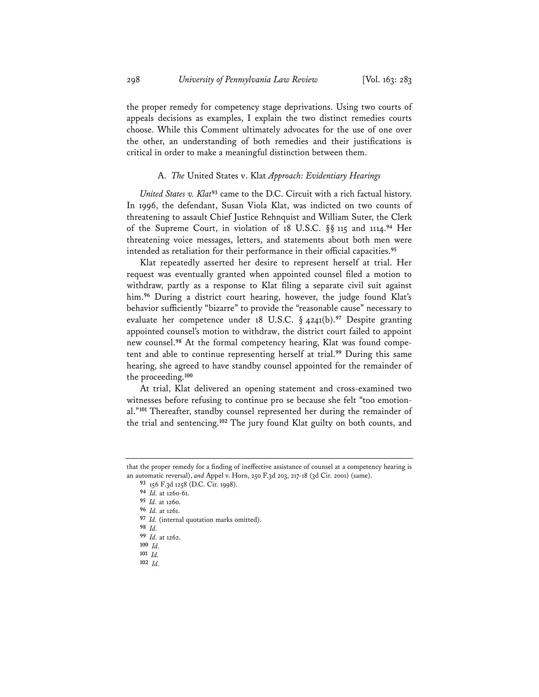the proper remedy for competency stage deprivations. Using two courts of appeals decisions as examples, I explain the two distinct remedies courts choose. While this Comment ultimately advocates for the use of one over the other, an understanding of both remedies and their justifications is critical in order to make a meaningful distinction between them.

#### A. *The* United States v. Klat *Approach: Evidentiary Hearings*

*United States v. Klat***<sup>93</sup>** came to the D.C. Circuit with a rich factual history. In 1996, the defendant, Susan Viola Klat, was indicted on two counts of threatening to assault Chief Justice Rehnquist and William Suter, the Clerk of the Supreme Court, in violation of 18 U.S.C. §§ 115 and 1114.**<sup>94</sup>** Her threatening voice messages, letters, and statements about both men were intended as retaliation for their performance in their official capacities.**<sup>95</sup>**

Klat repeatedly asserted her desire to represent herself at trial. Her request was eventually granted when appointed counsel filed a motion to withdraw, partly as a response to Klat filing a separate civil suit against him.**<sup>96</sup>** During a district court hearing, however, the judge found Klat's behavior sufficiently "bizarre" to provide the "reasonable cause" necessary to evaluate her competence under 18 U.S.C. § 4241(b).**<sup>97</sup>** Despite granting appointed counsel's motion to withdraw, the district court failed to appoint new counsel.**<sup>98</sup>** At the formal competency hearing, Klat was found competent and able to continue representing herself at trial.**<sup>99</sup>** During this same hearing, she agreed to have standby counsel appointed for the remainder of the proceeding.**<sup>100</sup>**

At trial, Klat delivered an opening statement and cross-examined two witnesses before refusing to continue pro se because she felt "too emotional."**<sup>101</sup>** Thereafter, standby counsel represented her during the remainder of the trial and sentencing.**<sup>102</sup>** The jury found Klat guilty on both counts, and

**<sup>102</sup>** *Id.* 

that the proper remedy for a finding of ineffective assistance of counsel at a competency hearing is an automatic reversal), *and* Appel v. Horn, 250 F.3d 203, 217-18 (3d Cir. 2001) (same).

**<sup>93</sup>** 156 F.3d 1258 (D.C. Cir. 1998).

**<sup>94</sup>** *Id.* at 1260-61.

**<sup>95</sup>** *Id.* at 1260.

**<sup>96</sup>** *Id.* at 1261.

**<sup>97</sup>** *Id.* (internal quotation marks omitted).

**<sup>98</sup>** *Id.* 

**<sup>99</sup>** *Id.* at 1262.

**<sup>100</sup>** *Id.* 

**<sup>101</sup>** *Id.*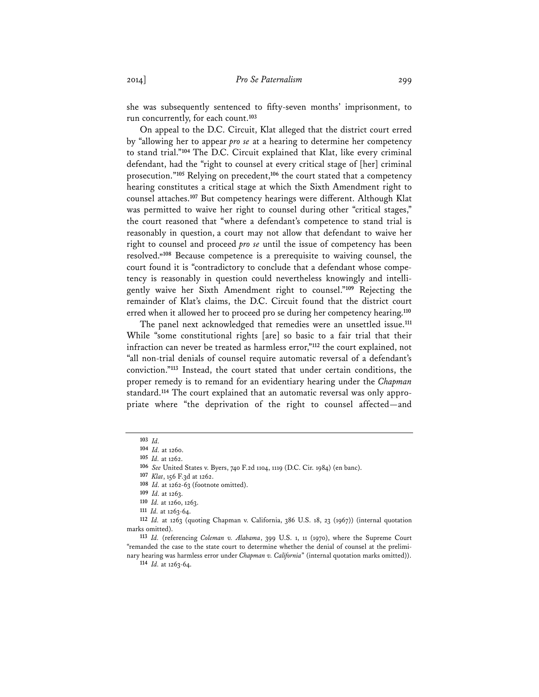she was subsequently sentenced to fifty-seven months' imprisonment, to run concurrently, for each count.**<sup>103</sup>**

On appeal to the D.C. Circuit, Klat alleged that the district court erred by "allowing her to appear *pro se* at a hearing to determine her competency to stand trial."**<sup>104</sup>** The D.C. Circuit explained that Klat, like every criminal defendant, had the "right to counsel at every critical stage of [her] criminal prosecution."**<sup>105</sup>** Relying on precedent,**<sup>106</sup>** the court stated that a competency hearing constitutes a critical stage at which the Sixth Amendment right to counsel attaches.**<sup>107</sup>** But competency hearings were different. Although Klat was permitted to waive her right to counsel during other "critical stages," the court reasoned that "where a defendant's competence to stand trial is reasonably in question, a court may not allow that defendant to waive her right to counsel and proceed *pro se* until the issue of competency has been resolved." **<sup>108</sup>** Because competence is a prerequisite to waiving counsel, the court found it is "contradictory to conclude that a defendant whose competency is reasonably in question could nevertheless knowingly and intelligently waive her Sixth Amendment right to counsel."**<sup>109</sup>** Rejecting the remainder of Klat's claims, the D.C. Circuit found that the district court erred when it allowed her to proceed pro se during her competency hearing.**<sup>110</sup>**

The panel next acknowledged that remedies were an unsettled issue.**<sup>111</sup>** While "some constitutional rights [are] so basic to a fair trial that their infraction can never be treated as harmless error,"**<sup>112</sup>** the court explained, not "all non-trial denials of counsel require automatic reversal of a defendant's conviction."**<sup>113</sup>** Instead, the court stated that under certain conditions, the proper remedy is to remand for an evidentiary hearing under the *Chapman*  standard.**<sup>114</sup>** The court explained that an automatic reversal was only appropriate where "the deprivation of the right to counsel affected—and

**<sup>103</sup>** *Id.* 

**<sup>104</sup>** *Id.* at 1260.

**<sup>105</sup>** *Id.* at 1262.

**<sup>106</sup>** *See* United States v. Byers, 740 F.2d 1104, 1119 (D.C. Cir. 1984) (en banc).

**<sup>107</sup>** *Klat*, 156 F.3d at 1262.

**<sup>108</sup>** *Id.* at 1262-63 (footnote omitted).

**<sup>109</sup>** *Id.* at 1263.

**<sup>110</sup>** *Id.* at 1260, 1263. **<sup>111</sup>** *Id.* at 1263-64.

**<sup>112</sup>** *Id.* at 1263 (quoting Chapman v. California, 386 U.S. 18, 23 (1967)) (internal quotation marks omitted).

**<sup>113</sup>** *Id.* (referencing *Coleman v. Alabama*, 399 U.S. 1, 11 (1970), where the Supreme Court "remanded the case to the state court to determine whether the denial of counsel at the prelimi-

nary hearing was harmless error under *Chapman v. California*" (internal quotation marks omitted)). **<sup>114</sup>** *Id.* at 1263-64.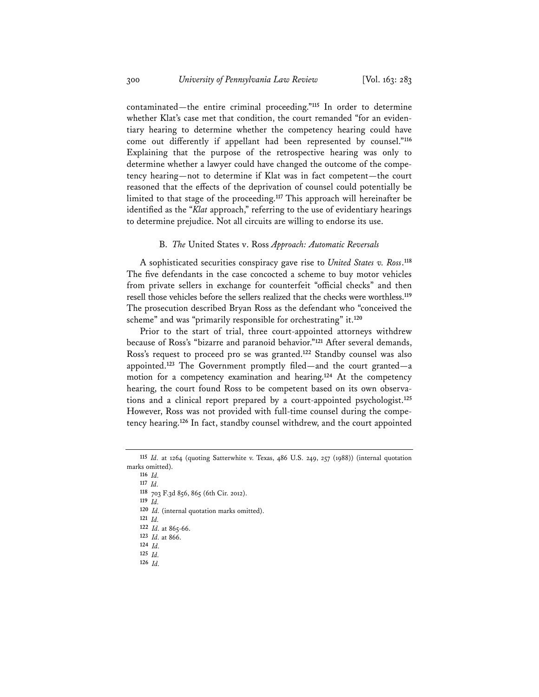contaminated—the entire criminal proceeding."**<sup>115</sup>** In order to determine whether Klat's case met that condition, the court remanded "for an evidentiary hearing to determine whether the competency hearing could have come out differently if appellant had been represented by counsel."**<sup>116</sup>** Explaining that the purpose of the retrospective hearing was only to determine whether a lawyer could have changed the outcome of the competency hearing—not to determine if Klat was in fact competent—the court reasoned that the effects of the deprivation of counsel could potentially be limited to that stage of the proceeding.**<sup>117</sup>** This approach will hereinafter be identified as the "*Klat* approach," referring to the use of evidentiary hearings to determine prejudice. Not all circuits are willing to endorse its use.

## B. *The* United States v. Ross *Approach: Automatic Reversals*

A sophisticated securities conspiracy gave rise to *United States v. Ross*. **118** The five defendants in the case concocted a scheme to buy motor vehicles from private sellers in exchange for counterfeit "official checks" and then resell those vehicles before the sellers realized that the checks were worthless.**<sup>119</sup>** The prosecution described Bryan Ross as the defendant who "conceived the scheme" and was "primarily responsible for orchestrating" it.**<sup>120</sup>**

Prior to the start of trial, three court-appointed attorneys withdrew because of Ross's "bizarre and paranoid behavior."**<sup>121</sup>** After several demands, Ross's request to proceed pro se was granted.**<sup>122</sup>** Standby counsel was also appointed.**<sup>123</sup>** The Government promptly filed—and the court granted—a motion for a competency examination and hearing.**<sup>124</sup>** At the competency hearing, the court found Ross to be competent based on its own observations and a clinical report prepared by a court-appointed psychologist.**<sup>125</sup>** However, Ross was not provided with full-time counsel during the competency hearing.**<sup>126</sup>** In fact, standby counsel withdrew, and the court appointed

- **<sup>118</sup>** 703 F.3d 856, 865 (6th Cir. 2012).
- **<sup>119</sup>** *Id.*
- **<sup>120</sup>** *Id.* (internal quotation marks omitted).
- **<sup>121</sup>** *Id.*
- 122 *Id.* at 865-66.
- **<sup>123</sup>** *Id.* at 866. **<sup>124</sup>** *Id.*
- **<sup>125</sup>** *Id.*
- **<sup>126</sup>** *Id.*

**<sup>115</sup>** *Id.* at 1264 (quoting Satterwhite v. Texas, 486 U.S. 249, 257 (1988)) (internal quotation marks omitted).

**<sup>116</sup>** *Id.*

**<sup>117</sup>** *Id.*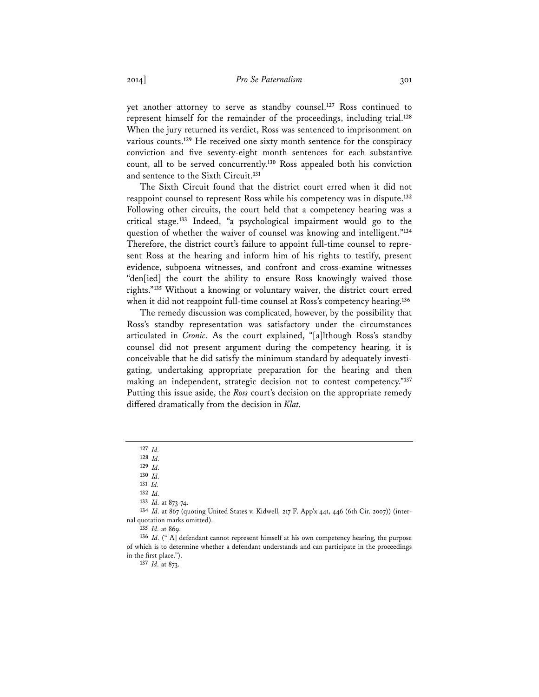yet another attorney to serve as standby counsel.**<sup>127</sup>** Ross continued to represent himself for the remainder of the proceedings, including trial.**<sup>128</sup>** When the jury returned its verdict, Ross was sentenced to imprisonment on various counts.**<sup>129</sup>** He received one sixty month sentence for the conspiracy conviction and five seventy-eight month sentences for each substantive count, all to be served concurrently.**<sup>130</sup>** Ross appealed both his conviction and sentence to the Sixth Circuit.**<sup>131</sup>**

The Sixth Circuit found that the district court erred when it did not reappoint counsel to represent Ross while his competency was in dispute.**<sup>132</sup>** Following other circuits, the court held that a competency hearing was a critical stage.**<sup>133</sup>** Indeed, "a psychological impairment would go to the question of whether the waiver of counsel was knowing and intelligent."**<sup>134</sup>** Therefore, the district court's failure to appoint full-time counsel to represent Ross at the hearing and inform him of his rights to testify, present evidence, subpoena witnesses, and confront and cross-examine witnesses "den[ied] the court the ability to ensure Ross knowingly waived those rights."**<sup>135</sup>** Without a knowing or voluntary waiver, the district court erred when it did not reappoint full-time counsel at Ross's competency hearing.**<sup>136</sup>**

The remedy discussion was complicated, however, by the possibility that Ross's standby representation was satisfactory under the circumstances articulated in *Cronic*. As the court explained, "[a]lthough Ross's standby counsel did not present argument during the competency hearing, it is conceivable that he did satisfy the minimum standard by adequately investigating, undertaking appropriate preparation for the hearing and then making an independent, strategic decision not to contest competency."**<sup>137</sup>** Putting this issue aside, the *Ross* court's decision on the appropriate remedy differed dramatically from the decision in *Klat.* 

**<sup>137</sup>** *Id.* at 873.

**<sup>127</sup>** *Id.* 

**<sup>128</sup>** *Id.*

**<sup>129</sup>** *Id.*

**<sup>130</sup>** *Id.* 

**<sup>131</sup>** *Id.*  **<sup>132</sup>** *Id.* 

**<sup>133</sup>** *Id.* at 873-74.

**<sup>134</sup>** *Id.* at 867 (quoting United States v. Kidwell*,* 217 F. App'x 441, 446 (6th Cir. 2007)) (internal quotation marks omitted).

**<sup>135</sup>** *Id.* at 869.

**<sup>136</sup>** *Id.* ("[A] defendant cannot represent himself at his own competency hearing, the purpose of which is to determine whether a defendant understands and can participate in the proceedings in the first place.").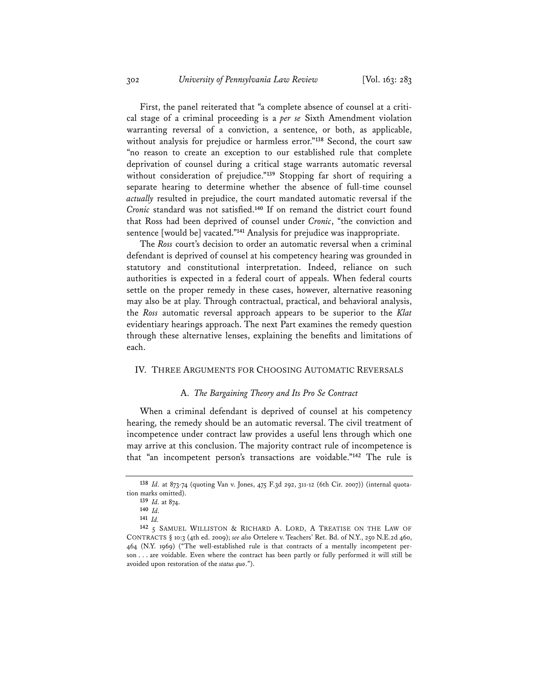First, the panel reiterated that "a complete absence of counsel at a critical stage of a criminal proceeding is a *per se* Sixth Amendment violation warranting reversal of a conviction, a sentence, or both, as applicable, without analysis for prejudice or harmless error."**<sup>138</sup>** Second, the court saw "no reason to create an exception to our established rule that complete deprivation of counsel during a critical stage warrants automatic reversal without consideration of prejudice."**<sup>139</sup>** Stopping far short of requiring a separate hearing to determine whether the absence of full-time counsel *actually* resulted in prejudice, the court mandated automatic reversal if the *Cronic* standard was not satisfied.**<sup>140</sup>** If on remand the district court found that Ross had been deprived of counsel under *Cronic*, "the conviction and sentence [would be] vacated."**<sup>141</sup>** Analysis for prejudice was inappropriate.

The *Ross* court's decision to order an automatic reversal when a criminal defendant is deprived of counsel at his competency hearing was grounded in statutory and constitutional interpretation. Indeed, reliance on such authorities is expected in a federal court of appeals. When federal courts settle on the proper remedy in these cases, however, alternative reasoning may also be at play. Through contractual, practical, and behavioral analysis, the *Ross* automatic reversal approach appears to be superior to the *Klat* evidentiary hearings approach. The next Part examines the remedy question through these alternative lenses, explaining the benefits and limitations of each.

## IV. THREE ARGUMENTS FOR CHOOSING AUTOMATIC REVERSALS

## A. *The Bargaining Theory and Its Pro Se Contract*

When a criminal defendant is deprived of counsel at his competency hearing, the remedy should be an automatic reversal. The civil treatment of incompetence under contract law provides a useful lens through which one may arrive at this conclusion. The majority contract rule of incompetence is that "an incompetent person's transactions are voidable."**<sup>142</sup>** The rule is

**<sup>138</sup>** *Id.* at 873-74 (quoting Van v. Jones, 475 F.3d 292, 311-12 (6th Cir. 2007)) (internal quotation marks omitted).

**<sup>139</sup>** *Id.* at 874.

**<sup>140</sup>** *Id.* **<sup>141</sup>** *Id.*

**<sup>142</sup>** 5 SAMUEL WILLISTON & RICHARD A. LORD, A TREATISE ON THE LAW OF CONTRACTS § 10:3 (4th ed. 2009); *see also* Ortelere v. Teachers' Ret. Bd. of N.Y., 250 N.E.2d 460, 464 (N.Y. 1969) ("The well-established rule is that contracts of a mentally incompetent person . . . are voidable. Even where the contract has been partly or fully performed it will still be avoided upon restoration of the *status quo*.").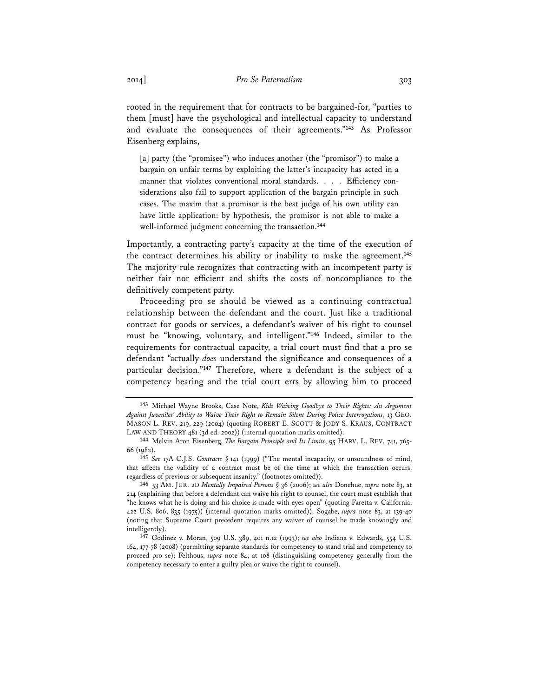rooted in the requirement that for contracts to be bargained-for, "parties to them [must] have the psychological and intellectual capacity to understand and evaluate the consequences of their agreements."**<sup>143</sup>** As Professor Eisenberg explains,

[a] party (the "promisee") who induces another (the "promisor") to make a bargain on unfair terms by exploiting the latter's incapacity has acted in a manner that violates conventional moral standards. . . . Efficiency considerations also fail to support application of the bargain principle in such cases. The maxim that a promisor is the best judge of his own utility can have little application: by hypothesis, the promisor is not able to make a well-informed judgment concerning the transaction.**<sup>144</sup>**

Importantly, a contracting party's capacity at the time of the execution of the contract determines his ability or inability to make the agreement.**<sup>145</sup>** The majority rule recognizes that contracting with an incompetent party is neither fair nor efficient and shifts the costs of noncompliance to the definitively competent party.

Proceeding pro se should be viewed as a continuing contractual relationship between the defendant and the court. Just like a traditional contract for goods or services, a defendant's waiver of his right to counsel must be "knowing, voluntary, and intelligent."**<sup>146</sup>** Indeed, similar to the requirements for contractual capacity, a trial court must find that a pro se defendant "actually *does* understand the significance and consequences of a particular decision."**<sup>147</sup>** Therefore, where a defendant is the subject of a competency hearing and the trial court errs by allowing him to proceed

**<sup>143</sup>** Michael Wayne Brooks, Case Note, *Kids Waiving Goodbye to Their Rights: An Argument Against Juveniles' Ability to Waive Their Right to Remain Silent During Police Interrogations*, 13 GEO. MASON L. REV. 219, 229 (2004) (quoting ROBERT E. SCOTT & JODY S. KRAUS, CONTRACT LAW AND THEORY 481 (3d ed. 2002)) (internal quotation marks omitted).

<sup>&</sup>lt;sup>144</sup> Melvin Aron Eisenberg, *The Bargain Principle and Its Limits*, 95 HARV. L. REV. 741, 765-66 (1982).

**<sup>145</sup>** *See* 17A C.J.S. *Contracts* § 141 (1999) ("The mental incapacity, or unsoundness of mind, that affects the validity of a contract must be of the time at which the transaction occurs, regardless of previous or subsequent insanity." (footnotes omitted)).

**<sup>146</sup>** 53 AM. JUR. 2D *Mentally Impaired Persons* § 36 (2006); *see also* Donehue, *supra* note 83, at 214 (explaining that before a defendant can waive his right to counsel, the court must establish that "he knows what he is doing and his choice is made with eyes open" (quoting Faretta v. California, 422 U.S. 806, 835 (1975)) (internal quotation marks omitted)); Sogabe, *supra* note 83, at 139-40 (noting that Supreme Court precedent requires any waiver of counsel be made knowingly and intelligently).

**<sup>147</sup>** Godinez v. Moran, 509 U.S. 389, 401 n.12 (1993); *see also* Indiana v. Edwards, 554 U.S. 164, 177-78 (2008) (permitting separate standards for competency to stand trial and competency to proceed pro se); Felthous, *supra* note 84, at 108 (distinguishing competency generally from the competency necessary to enter a guilty plea or waive the right to counsel).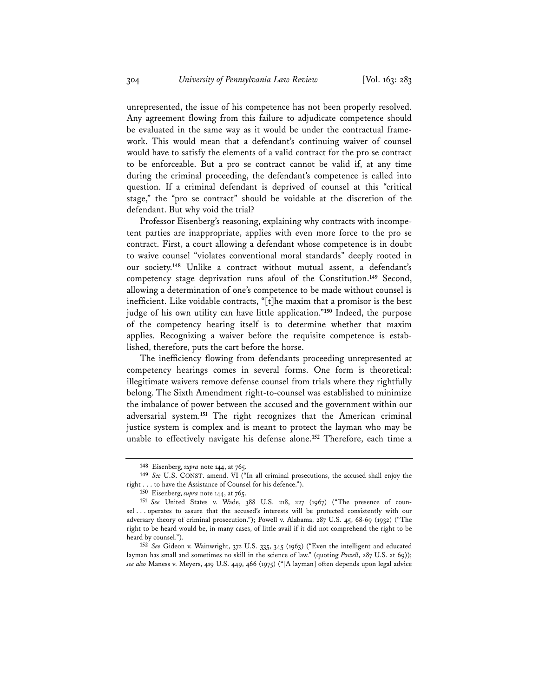unrepresented, the issue of his competence has not been properly resolved. Any agreement flowing from this failure to adjudicate competence should be evaluated in the same way as it would be under the contractual framework. This would mean that a defendant's continuing waiver of counsel would have to satisfy the elements of a valid contract for the pro se contract to be enforceable. But a pro se contract cannot be valid if, at any time during the criminal proceeding, the defendant's competence is called into question. If a criminal defendant is deprived of counsel at this "critical stage," the "pro se contract" should be voidable at the discretion of the defendant. But why void the trial?

Professor Eisenberg's reasoning, explaining why contracts with incompetent parties are inappropriate, applies with even more force to the pro se contract. First, a court allowing a defendant whose competence is in doubt to waive counsel "violates conventional moral standards" deeply rooted in our society.**<sup>148</sup>** Unlike a contract without mutual assent, a defendant's competency stage deprivation runs afoul of the Constitution.**<sup>149</sup>** Second, allowing a determination of one's competence to be made without counsel is inefficient. Like voidable contracts, "[t]he maxim that a promisor is the best judge of his own utility can have little application."**<sup>150</sup>** Indeed, the purpose of the competency hearing itself is to determine whether that maxim applies. Recognizing a waiver before the requisite competence is established, therefore, puts the cart before the horse.

The inefficiency flowing from defendants proceeding unrepresented at competency hearings comes in several forms. One form is theoretical: illegitimate waivers remove defense counsel from trials where they rightfully belong. The Sixth Amendment right-to-counsel was established to minimize the imbalance of power between the accused and the government within our adversarial system.**<sup>151</sup>** The right recognizes that the American criminal justice system is complex and is meant to protect the layman who may be unable to effectively navigate his defense alone.**<sup>152</sup>** Therefore, each time a

**<sup>148</sup>** Eisenberg, *supra* note 144, at 765.

**<sup>149</sup>** *See* U.S. CONST. amend. VI ("In all criminal prosecutions, the accused shall enjoy the right . . . to have the Assistance of Counsel for his defence.").

**<sup>150</sup>** Eisenberg, *supra* note 144, at 765.

**<sup>151</sup>** *See* United States v. Wade, 388 U.S. 218, 227 (1967) ("The presence of counsel . . . operates to assure that the accused's interests will be protected consistently with our adversary theory of criminal prosecution."); Powell v. Alabama, 287 U.S. 45, 68-69 (1932) ("The right to be heard would be, in many cases, of little avail if it did not comprehend the right to be heard by counsel.").

**<sup>152</sup>** *See* Gideon v. Wainwright, 372 U.S. 335, 345 (1963) ("Even the intelligent and educated layman has small and sometimes no skill in the science of law." (quoting *Powell*, 287 U.S. at 69)); *see also* Maness v. Meyers, 419 U.S. 449, 466 (1975) ("[A layman] often depends upon legal advice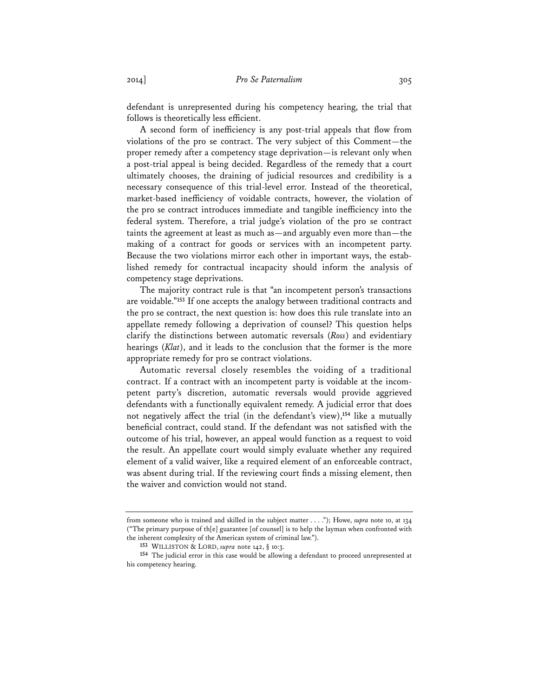defendant is unrepresented during his competency hearing, the trial that follows is theoretically less efficient.

A second form of inefficiency is any post-trial appeals that flow from violations of the pro se contract. The very subject of this Comment—the proper remedy after a competency stage deprivation—is relevant only when a post-trial appeal is being decided. Regardless of the remedy that a court ultimately chooses, the draining of judicial resources and credibility is a necessary consequence of this trial-level error. Instead of the theoretical, market-based inefficiency of voidable contracts, however, the violation of the pro se contract introduces immediate and tangible inefficiency into the federal system. Therefore, a trial judge's violation of the pro se contract taints the agreement at least as much as—and arguably even more than—the making of a contract for goods or services with an incompetent party. Because the two violations mirror each other in important ways, the established remedy for contractual incapacity should inform the analysis of competency stage deprivations.

The majority contract rule is that "an incompetent person's transactions are voidable."**<sup>153</sup>** If one accepts the analogy between traditional contracts and the pro se contract, the next question is: how does this rule translate into an appellate remedy following a deprivation of counsel? This question helps clarify the distinctions between automatic reversals (*Ross*) and evidentiary hearings (*Klat*), and it leads to the conclusion that the former is the more appropriate remedy for pro se contract violations.

Automatic reversal closely resembles the voiding of a traditional contract. If a contract with an incompetent party is voidable at the incompetent party's discretion, automatic reversals would provide aggrieved defendants with a functionally equivalent remedy. A judicial error that does not negatively affect the trial (in the defendant's view),**<sup>154</sup>** like a mutually beneficial contract, could stand. If the defendant was not satisfied with the outcome of his trial, however, an appeal would function as a request to void the result. An appellate court would simply evaluate whether any required element of a valid waiver, like a required element of an enforceable contract, was absent during trial. If the reviewing court finds a missing element, then the waiver and conviction would not stand.

from someone who is trained and skilled in the subject matter . . . ."); Howe, *supra* note 10, at 134 ("The primary purpose of th $[e]$  guarantee [of counsel] is to help the layman when confronted with the inherent complexity of the American system of criminal law.").

**<sup>153</sup>** WILLISTON & LORD, *supra* note 142, § 10:3.

**<sup>154</sup>** The judicial error in this case would be allowing a defendant to proceed unrepresented at his competency hearing.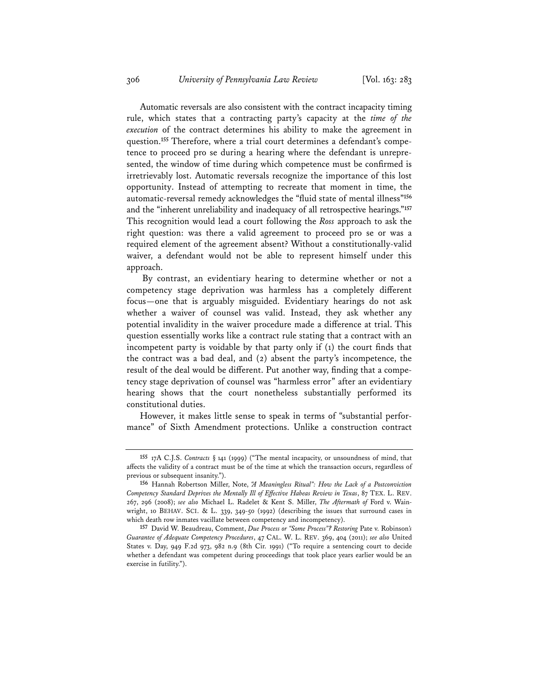Automatic reversals are also consistent with the contract incapacity timing rule, which states that a contracting party's capacity at the *time of the execution* of the contract determines his ability to make the agreement in question.**<sup>155</sup>** Therefore, where a trial court determines a defendant's competence to proceed pro se during a hearing where the defendant is unrepresented, the window of time during which competence must be confirmed is irretrievably lost. Automatic reversals recognize the importance of this lost opportunity. Instead of attempting to recreate that moment in time, the automatic-reversal remedy acknowledges the "fluid state of mental illness"**<sup>156</sup>** and the "inherent unreliability and inadequacy of all retrospective hearings."**<sup>157</sup>** This recognition would lead a court following the *Ross* approach to ask the right question: was there a valid agreement to proceed pro se or was a required element of the agreement absent? Without a constitutionally-valid waiver, a defendant would not be able to represent himself under this approach.

 By contrast, an evidentiary hearing to determine whether or not a competency stage deprivation was harmless has a completely different focus—one that is arguably misguided. Evidentiary hearings do not ask whether a waiver of counsel was valid. Instead, they ask whether any potential invalidity in the waiver procedure made a difference at trial. This question essentially works like a contract rule stating that a contract with an incompetent party is voidable by that party only if (1) the court finds that the contract was a bad deal, and (2) absent the party's incompetence, the result of the deal would be different. Put another way, finding that a competency stage deprivation of counsel was "harmless error" after an evidentiary hearing shows that the court nonetheless substantially performed its constitutional duties.

However, it makes little sense to speak in terms of "substantial performance" of Sixth Amendment protections. Unlike a construction contract

**<sup>155</sup>** 17A C.J.S. *Contracts* § 141 (1999) ("The mental incapacity, or unsoundness of mind, that affects the validity of a contract must be of the time at which the transaction occurs, regardless of previous or subsequent insanity.").

**<sup>156</sup>** Hannah Robertson Miller, Note, *"A Meaningless Ritual": How the Lack of a Postconviction Competency Standard Deprives the Mentally Ill of Effective Habeas Review in Texas*, 87 TEX. L. REV. 267, 296 (2008); *see also* Michael L. Radelet & Kent S. Miller, *The Aftermath of* Ford v. Wainwright, 10 BEHAV. SCI. & L. 339, 349-50 (1992) (describing the issues that surround cases in which death row inmates vacillate between competency and incompetency).

**<sup>157</sup>** David W. Beaudreau, Comment, *Due Process or "Some Process"? Restoring* Pate v. Robinson*'s Guarantee of Adequate Competency Procedures*, 47 CAL. W. L. REV. 369, 404 (2011); *see also* United States v. Day, 949 F.2d 973, 982 n.9 (8th Cir. 1991) ("To require a sentencing court to decide whether a defendant was competent during proceedings that took place years earlier would be an exercise in futility.").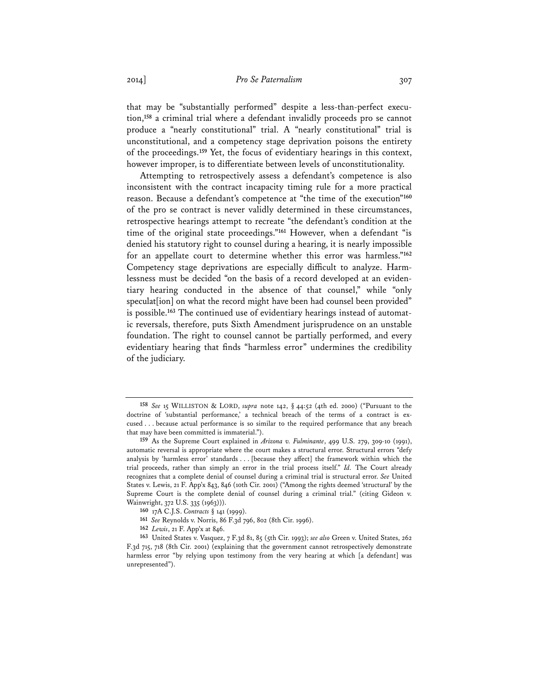## 2014] *Pro Se Paternalism* 307

that may be "substantially performed" despite a less-than-perfect execution,**<sup>158</sup>** a criminal trial where a defendant invalidly proceeds pro se cannot produce a "nearly constitutional" trial. A "nearly constitutional" trial is unconstitutional, and a competency stage deprivation poisons the entirety of the proceedings.**<sup>159</sup>** Yet, the focus of evidentiary hearings in this context, however improper, is to differentiate between levels of unconstitutionality.

Attempting to retrospectively assess a defendant's competence is also inconsistent with the contract incapacity timing rule for a more practical reason. Because a defendant's competence at "the time of the execution"**<sup>160</sup>** of the pro se contract is never validly determined in these circumstances, retrospective hearings attempt to recreate "the defendant's condition at the time of the original state proceedings."**<sup>161</sup>** However, when a defendant "is denied his statutory right to counsel during a hearing, it is nearly impossible for an appellate court to determine whether this error was harmless."**<sup>162</sup>** Competency stage deprivations are especially difficult to analyze. Harmlessness must be decided "on the basis of a record developed at an evidentiary hearing conducted in the absence of that counsel," while "only speculat [ion] on what the record might have been had counsel been provided" is possible.**<sup>163</sup>** The continued use of evidentiary hearings instead of automatic reversals, therefore, puts Sixth Amendment jurisprudence on an unstable foundation. The right to counsel cannot be partially performed, and every evidentiary hearing that finds "harmless error" undermines the credibility of the judiciary.

**<sup>158</sup>** *See* 15 WILLISTON & LORD, *supra* note 142, § 44:52 (4th ed. 2000) ("Pursuant to the doctrine of 'substantial performance,' a technical breach of the terms of a contract is excused . . . because actual performance is so similar to the required performance that any breach that may have been committed is immaterial.").

**<sup>159</sup>** As the Supreme Court explained in *Arizona v. Fulminante*, 499 U.S. 279, 309-10 (1991), automatic reversal is appropriate where the court makes a structural error. Structural errors "defy analysis by 'harmless error' standards . . . [because they affect] the framework within which the trial proceeds, rather than simply an error in the trial process itself." *Id.* The Court already recognizes that a complete denial of counsel during a criminal trial is structural error. *See* United States v. Lewis, 21 F. App'x 843, 846 (10th Cir. 2001) ("Among the rights deemed 'structural' by the Supreme Court is the complete denial of counsel during a criminal trial." (citing Gideon v. Wainwright, 372 U.S. 335 (1963))).

**<sup>160</sup>** 17A C.J.S. *Contracts* § 141 (1999).

**<sup>161</sup>** *See* Reynolds v. Norris, 86 F.3d 796, 802 (8th Cir. 1996).

**<sup>162</sup>** *Lewis*, 21 F. App'x at 846.

**<sup>163</sup>** United States v. Vasquez, 7 F.3d 81, 85 (5th Cir. 1993); *see also* Green v. United States, 262 F.3d 715, 718 (8th Cir. 2001) (explaining that the government cannot retrospectively demonstrate harmless error "by relying upon testimony from the very hearing at which [a defendant] was unrepresented").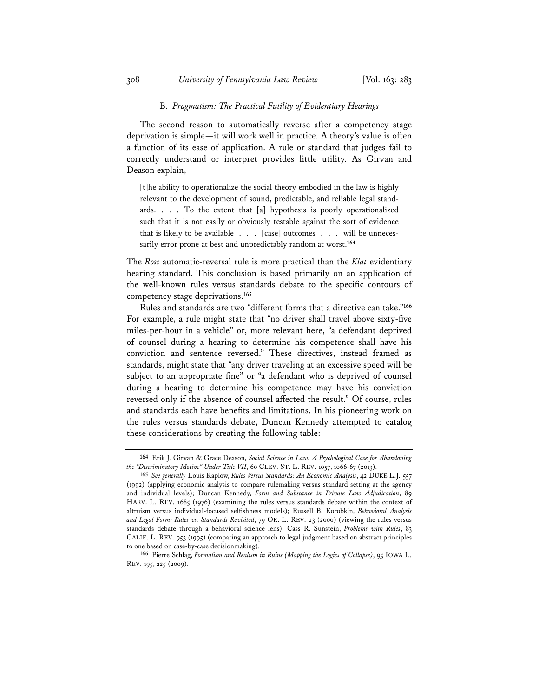#### B. *Pragmatism: The Practical Futility of Evidentiary Hearings*

The second reason to automatically reverse after a competency stage deprivation is simple—it will work well in practice. A theory's value is often a function of its ease of application. A rule or standard that judges fail to correctly understand or interpret provides little utility. As Girvan and Deason explain,

[t]he ability to operationalize the social theory embodied in the law is highly relevant to the development of sound, predictable, and reliable legal standards.  $\ldots$  . To the extent that [a] hypothesis is poorly operationalized such that it is not easily or obviously testable against the sort of evidence that is likely to be available . . . [case] outcomes . . . will be unnecessarily error prone at best and unpredictably random at worst.**<sup>164</sup>**

The *Ross* automatic-reversal rule is more practical than the *Klat* evidentiary hearing standard. This conclusion is based primarily on an application of the well-known rules versus standards debate to the specific contours of competency stage deprivations.**<sup>165</sup>**

Rules and standards are two "different forms that a directive can take."**<sup>166</sup>** For example, a rule might state that "no driver shall travel above sixty-five miles-per-hour in a vehicle" or, more relevant here, "a defendant deprived of counsel during a hearing to determine his competence shall have his conviction and sentence reversed." These directives, instead framed as standards, might state that "any driver traveling at an excessive speed will be subject to an appropriate fine" or "a defendant who is deprived of counsel during a hearing to determine his competence may have his conviction reversed only if the absence of counsel affected the result." Of course, rules and standards each have benefits and limitations. In his pioneering work on the rules versus standards debate, Duncan Kennedy attempted to catalog these considerations by creating the following table:

**<sup>164</sup>** Erik J. Girvan & Grace Deason, *Social Science in Law: A Psychological Case for Abandoning the "Discriminatory Motive" Under Title VII*, 60 CLEV. ST. L. REV. 1057, 1066-67 (2013).

**<sup>165</sup>** *See generally* Louis Kaplow, *Rules Versus Standards: An Economic Analysis*, 42 DUKE L.J. 557 (1992) (applying economic analysis to compare rulemaking versus standard setting at the agency and individual levels); Duncan Kennedy, *Form and Substance in Private Law Adjudication*, 89 HARV. L. REV. 1685 (1976) (examining the rules versus standards debate within the context of altruism versus individual-focused selfishness models); Russell B. Korobkin, *Behavioral Analysis and Legal Form: Rules vs. Standards Revisited*, 79 OR. L. REV. 23 (2000) (viewing the rules versus standards debate through a behavioral science lens); Cass R. Sunstein, *Problems with Rules*, 83 CALIF. L. REV. 953 (1995) (comparing an approach to legal judgment based on abstract principles to one based on case-by-case decisionmaking).

**<sup>166</sup>** Pierre Schlag, *Formalism and Realism in Ruins (Mapping the Logics of Collapse)*, 95 IOWA L. REV. 195, 225 (2009).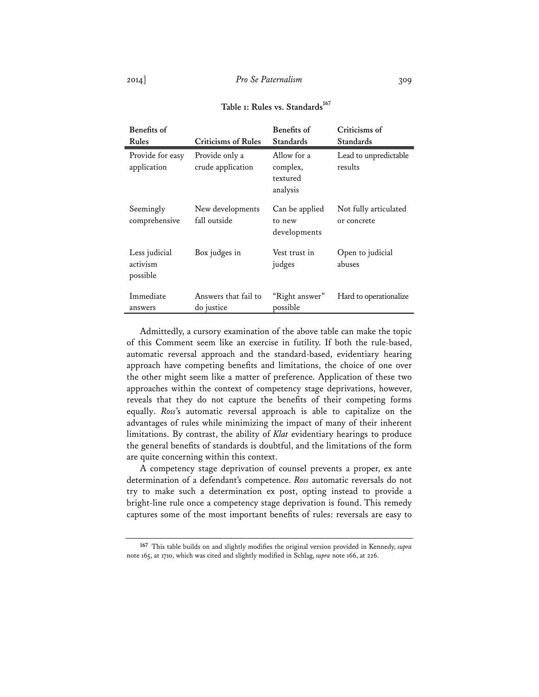| Benefits of                           |                                     | <b>Benefits of</b>                              | Criticisms of                        |
|---------------------------------------|-------------------------------------|-------------------------------------------------|--------------------------------------|
| Rules                                 | <b>Criticisms of Rules</b>          | Standards                                       | Standards                            |
| Provide for easy<br>application       | Provide only a<br>crude application | Allow for a<br>complex,<br>textured<br>analysis | Lead to unpredictable<br>results     |
| Seemingly<br>comprehensive            | New developments<br>fall outside    | Can be applied<br>to new<br>developments        | Not fully articulated<br>or concrete |
| Less judicial<br>activism<br>possible | Box judges in                       | Vest trust in<br>judges                         | Open to judicial<br>abuses           |
| Immediate<br>answers                  | Answers that fail to<br>do justice  | "Right answer"<br>possible                      | Hard to operationalize               |

## Table 1: Rules vs. Standards<sup>167</sup>

Admittedly, a cursory examination of the above table can make the topic of this Comment seem like an exercise in futility. If both the rule-based, automatic reversal approach and the standard-based, evidentiary hearing approach have competing benefits and limitations, the choice of one over the other might seem like a matter of preference. Application of these two approaches within the context of competency stage deprivations, however, reveals that they do not capture the benefits of their competing forms equally. *Ross*'s automatic reversal approach is able to capitalize on the advantages of rules while minimizing the impact of many of their inherent limitations. By contrast, the ability of *Klat* evidentiary hearings to produce the general benefits of standards is doubtful, and the limitations of the form are quite concerning within this context.

A competency stage deprivation of counsel prevents a proper, ex ante determination of a defendant's competence. *Ross* automatic reversals do not try to make such a determination ex post, opting instead to provide a bright-line rule once a competency stage deprivation is found. This remedy captures some of the most important benefits of rules: reversals are easy to

 $\blacksquare$ 

**<sup>167</sup>** This table builds on and slightly modifies the original version provided in Kennedy, *supra* note 165, at 1710, which was cited and slightly modified in Schlag, *supra* note 166, at 226.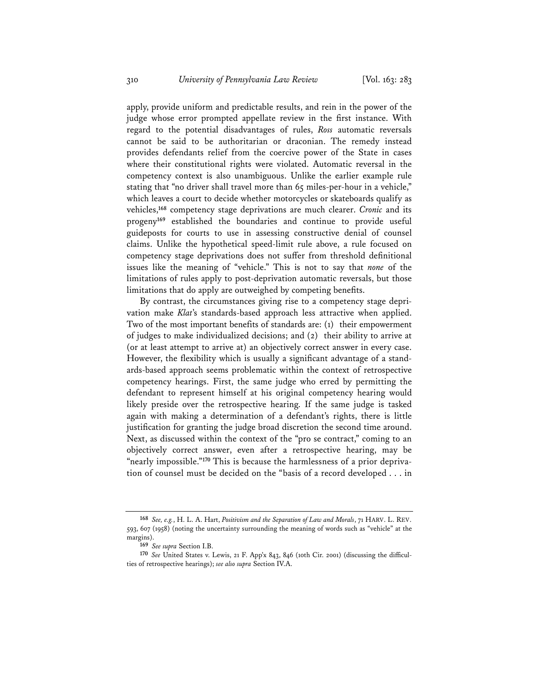apply, provide uniform and predictable results, and rein in the power of the judge whose error prompted appellate review in the first instance. With regard to the potential disadvantages of rules, *Ross* automatic reversals cannot be said to be authoritarian or draconian. The remedy instead provides defendants relief from the coercive power of the State in cases where their constitutional rights were violated. Automatic reversal in the competency context is also unambiguous. Unlike the earlier example rule stating that "no driver shall travel more than 65 miles-per-hour in a vehicle," which leaves a court to decide whether motorcycles or skateboards qualify as vehicles,**<sup>168</sup>** competency stage deprivations are much clearer. *Cronic* and its progeny**<sup>169</sup>** established the boundaries and continue to provide useful guideposts for courts to use in assessing constructive denial of counsel claims. Unlike the hypothetical speed-limit rule above, a rule focused on competency stage deprivations does not suffer from threshold definitional issues like the meaning of "vehicle." This is not to say that *none* of the limitations of rules apply to post-deprivation automatic reversals, but those limitations that do apply are outweighed by competing benefits.

By contrast, the circumstances giving rise to a competency stage deprivation make *Klat*'s standards-based approach less attractive when applied. Two of the most important benefits of standards are: (1) their empowerment of judges to make individualized decisions; and (2) their ability to arrive at (or at least attempt to arrive at) an objectively correct answer in every case. However, the flexibility which is usually a significant advantage of a standards-based approach seems problematic within the context of retrospective competency hearings. First, the same judge who erred by permitting the defendant to represent himself at his original competency hearing would likely preside over the retrospective hearing. If the same judge is tasked again with making a determination of a defendant's rights, there is little justification for granting the judge broad discretion the second time around. Next, as discussed within the context of the "pro se contract," coming to an objectively correct answer, even after a retrospective hearing, may be "nearly impossible."**<sup>170</sup>** This is because the harmlessness of a prior deprivation of counsel must be decided on the "basis of a record developed . . . in

**<sup>168</sup>** *See, e.g.*, H. L. A. Hart, *Positivism and the Separation of Law and Morals*, 71 HARV. L. REV. 593, 607 (1958) (noting the uncertainty surrounding the meaning of words such as "vehicle" at the margins). **<sup>169</sup>** *See supra* Section I.B.

**<sup>170</sup>** *See* United States v. Lewis, 21 F. App'x 843, 846 (10th Cir. 2001) (discussing the difficulties of retrospective hearings); *see also supra* Section IV.A.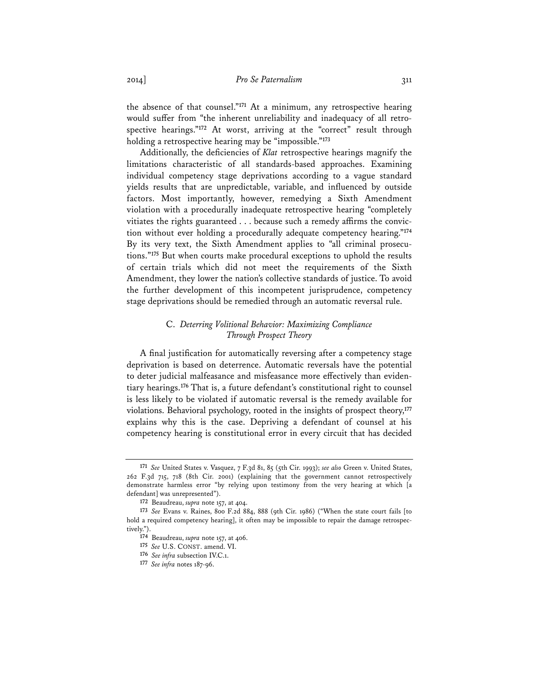the absence of that counsel."**<sup>171</sup>** At a minimum, any retrospective hearing would suffer from "the inherent unreliability and inadequacy of all retrospective hearings."**<sup>172</sup>** At worst, arriving at the "correct" result through holding a retrospective hearing may be "impossible."**<sup>173</sup>**

Additionally, the deficiencies of *Klat* retrospective hearings magnify the limitations characteristic of all standards-based approaches. Examining individual competency stage deprivations according to a vague standard yields results that are unpredictable, variable, and influenced by outside factors. Most importantly, however, remedying a Sixth Amendment violation with a procedurally inadequate retrospective hearing "completely vitiates the rights guaranteed . . . because such a remedy affirms the conviction without ever holding a procedurally adequate competency hearing."**<sup>174</sup>** By its very text, the Sixth Amendment applies to "all criminal prosecutions."**<sup>175</sup>** But when courts make procedural exceptions to uphold the results of certain trials which did not meet the requirements of the Sixth Amendment, they lower the nation's collective standards of justice. To avoid the further development of this incompetent jurisprudence, competency stage deprivations should be remedied through an automatic reversal rule.

## C. *Deterring Volitional Behavior: Maximizing Compliance Through Prospect Theory*

A final justification for automatically reversing after a competency stage deprivation is based on deterrence. Automatic reversals have the potential to deter judicial malfeasance and misfeasance more effectively than evidentiary hearings.**<sup>176</sup>** That is, a future defendant's constitutional right to counsel is less likely to be violated if automatic reversal is the remedy available for violations. Behavioral psychology, rooted in the insights of prospect theory,**<sup>177</sup>** explains why this is the case. Depriving a defendant of counsel at his competency hearing is constitutional error in every circuit that has decided

**<sup>171</sup>** *See* United States v. Vasquez, 7 F.3d 81, 85 (5th Cir. 1993); *see also* Green v. United States, 262 F.3d 715, 718 (8th Cir. 2001) (explaining that the government cannot retrospectively demonstrate harmless error "by relying upon testimony from the very hearing at which [a defendant] was unrepresented").

**<sup>172</sup>** Beaudreau, *supra* note 157, at 404.

**<sup>173</sup>** *See* Evans v. Raines, 800 F.2d 884, 888 (9th Cir. 1986) ("When the state court fails [to hold a required competency hearing], it often may be impossible to repair the damage retrospectively.").

**<sup>174</sup>** Beaudreau, *supra* note 157, at 406.

**<sup>175</sup>** *See* U.S. CONST. amend. VI.

**<sup>176</sup>** *See infra* subsection IV.C.1.

**<sup>177</sup>** *See infra* notes 187-96.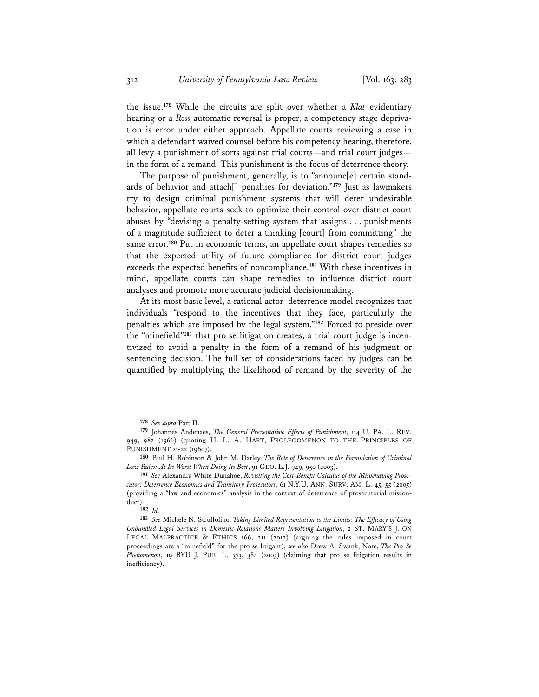the issue.**<sup>178</sup>** While the circuits are split over whether a *Klat* evidentiary hearing or a *Ross* automatic reversal is proper, a competency stage deprivation is error under either approach. Appellate courts reviewing a case in which a defendant waived counsel before his competency hearing, therefore, all levy a punishment of sorts against trial courts—and trial court judges in the form of a remand. This punishment is the focus of deterrence theory.

The purpose of punishment, generally, is to "announc<sup>[e]</sup> certain standards of behavior and attach[] penalties for deviation."**<sup>179</sup>** Just as lawmakers try to design criminal punishment systems that will deter undesirable behavior, appellate courts seek to optimize their control over district court abuses by "devising a penalty-setting system that assigns . . . punishments of a magnitude sufficient to deter a thinking [court] from committing" the same error.**<sup>180</sup>** Put in economic terms, an appellate court shapes remedies so that the expected utility of future compliance for district court judges exceeds the expected benefits of noncompliance.**<sup>181</sup>** With these incentives in mind, appellate courts can shape remedies to influence district court analyses and promote more accurate judicial decisionmaking.

At its most basic level, a rational actor–deterrence model recognizes that individuals "respond to the incentives that they face, particularly the penalties which are imposed by the legal system."**<sup>182</sup>** Forced to preside over the "minefield"**<sup>183</sup>** that pro se litigation creates, a trial court judge is incentivized to avoid a penalty in the form of a remand of his judgment or sentencing decision. The full set of considerations faced by judges can be quantified by multiplying the likelihood of remand by the severity of the

**<sup>178</sup>** *See supra* Part II.

**<sup>179</sup>** Johannes Andenaes, *The General Preventative Effects of Punishment*, 114 U. PA. L. REV. 949, 982 (1966) (quoting H. L. A. HART, PROLEGOMENON TO THE PRINCIPLES OF PUNISHMENT 21-22 (1960)).

**<sup>180</sup>** Paul H. Robinson & John M. Darley, *The Role of Deterrence in the Formulation of Criminal Law Rules: At Its Worst When Doing Its Best*, 91 GEO. L.J. 949, 950 (2003).

**<sup>181</sup>** *See* Alexandra White Dunahoe, *Revisiting the Cost-Benefit Calculus of the Misbehaving Prosecutor: Deterrence Economics and Transitory Prosecutors*, 61 N.Y.U. ANN. SURV. AM. L. 45, 55 (2005) (providing a "law and economics" analysis in the context of deterrence of prosecutorial misconduct).

**<sup>182</sup>** *Id.* 

**<sup>183</sup>** *See* Michele N. Struffolino, *Taking Limited Representation to the Limits: The Efficacy of Using Unbundled Legal Services in Domestic-Relations Matters Involving Litigation*, 2 ST. MARY'S J. ON LEGAL MALPRACTICE & ETHICS 166, 211 (2012) (arguing the rules imposed in court proceedings are a "minefield" for the pro se litigant); *see also* Drew A. Swank, Note, *The Pro Se Phenomenon*, 19 BYU J. PUB. L. 373, 384 (2005) (claiming that pro se litigation results in inefficiency).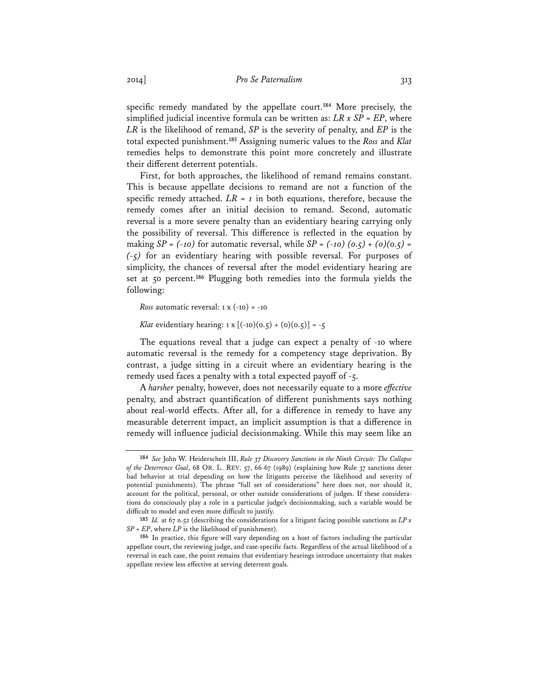specific remedy mandated by the appellate court.**<sup>184</sup>** More precisely, the simplified judicial incentive formula can be written as: *LR x SP = EP*, where *LR* is the likelihood of remand, *SP* is the severity of penalty, and *EP* is the total expected punishment.**<sup>185</sup>** Assigning numeric values to the *Ross* and *Klat*  remedies helps to demonstrate this point more concretely and illustrate their different deterrent potentials.

First, for both approaches, the likelihood of remand remains constant. This is because appellate decisions to remand are not a function of the specific remedy attached.  $LR = 1$  in both equations, therefore, because the remedy comes after an initial decision to remand. Second, automatic reversal is a more severe penalty than an evidentiary hearing carrying only the possibility of reversal. This difference is reflected in the equation by making  $SP = (-10)$  for automatic reversal, while  $SP = (-10) (0.5) + (0)(0.5) =$ *(-5)* for an evidentiary hearing with possible reversal. For purposes of simplicity, the chances of reversal after the model evidentiary hearing are set at 50 percent.**<sup>186</sup>** Plugging both remedies into the formula yields the following:

*Ross* automatic reversal:  $1 \times (-10) = -10$ 

*Klat* evidentiary hearing:  $1 \times [(-10)(0.5) + (0)(0.5)] = -5$ 

The equations reveal that a judge can expect a penalty of -10 where automatic reversal is the remedy for a competency stage deprivation. By contrast, a judge sitting in a circuit where an evidentiary hearing is the remedy used faces a penalty with a total expected payoff of -5.

A *harsher* penalty, however, does not necessarily equate to a more *effective*  penalty, and abstract quantification of different punishments says nothing about real-world effects. After all, for a difference in remedy to have any measurable deterrent impact, an implicit assumption is that a difference in remedy will influence judicial decisionmaking. While this may seem like an

**<sup>184</sup>** *See* John W. Heiderscheit III, *Rule 37 Discovery Sanctions in the Ninth Circuit: The Collapse of the Deterrence Goal*, 68 OR. L. REV. 57, 66-67 (1989) (explaining how Rule 37 sanctions deter bad behavior at trial depending on how the litigants perceive the likelihood and severity of potential punishments). The phrase "full set of considerations" here does not, nor should it, account for the political, personal, or other outside considerations of judges. If these considerations do consciously play a role in a particular judge's decisionmaking, such a variable would be difficult to model and even more difficult to justify.

**<sup>185</sup>** *Id.* at 67 n.52 (describing the considerations for a litigant facing possible sanctions as *LP x SP = EP*, where *LP* is the likelihood of punishment).

**<sup>186</sup>** In practice, this figure will vary depending on a host of factors including the particular appellate court, the reviewing judge, and case-specific facts. Regardless of the actual likelihood of a reversal in each case, the point remains that evidentiary hearings introduce uncertainty that makes appellate review less effective at serving deterrent goals.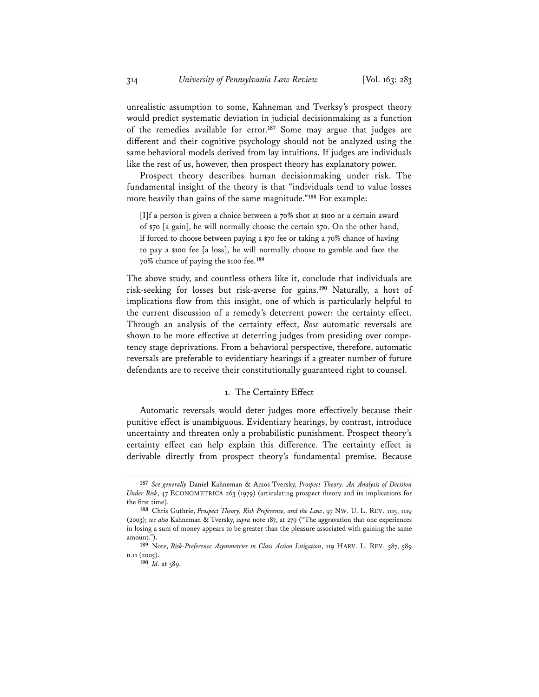unrealistic assumption to some, Kahneman and Tverksy's prospect theory would predict systematic deviation in judicial decisionmaking as a function of the remedies available for error.**<sup>187</sup>** Some may argue that judges are different and their cognitive psychology should not be analyzed using the same behavioral models derived from lay intuitions. If judges are individuals like the rest of us, however, then prospect theory has explanatory power.

Prospect theory describes human decisionmaking under risk. The fundamental insight of the theory is that "individuals tend to value losses more heavily than gains of the same magnitude."**<sup>188</sup>** For example:

[I]f a person is given a choice between a 70% shot at \$100 or a certain award of \$70 [a gain], he will normally choose the certain \$70. On the other hand, if forced to choose between paying a \$70 fee or taking a 70% chance of having to pay a \$100 fee [a loss], he will normally choose to gamble and face the 70% chance of paying the \$100 fee.**<sup>189</sup>**

The above study, and countless others like it, conclude that individuals are risk-seeking for losses but risk-averse for gains.**<sup>190</sup>** Naturally, a host of implications flow from this insight, one of which is particularly helpful to the current discussion of a remedy's deterrent power: the certainty effect. Through an analysis of the certainty effect, *Ross* automatic reversals are shown to be more effective at deterring judges from presiding over competency stage deprivations. From a behavioral perspective, therefore, automatic reversals are preferable to evidentiary hearings if a greater number of future defendants are to receive their constitutionally guaranteed right to counsel.

## 1. The Certainty Effect

Automatic reversals would deter judges more effectively because their punitive effect is unambiguous. Evidentiary hearings, by contrast, introduce uncertainty and threaten only a probabilistic punishment. Prospect theory's certainty effect can help explain this difference. The certainty effect is derivable directly from prospect theory's fundamental premise. Because

**<sup>187</sup>** *See generally* Daniel Kahneman & Amos Tversky, *Prospect Theory: An Analysis of Decision Under Risk*, 47 ECONOMETRICA 263 (1979) (articulating prospect theory and its implications for the first time).

**<sup>188</sup>** Chris Guthrie, *Prospect Theory, Risk Preference, and the Law*, 97 NW. U. L. REV. 1115, 1119 (2003); *see also* Kahneman & Tversky, *supra* note 187, at 279 ("The aggravation that one experiences in losing a sum of money appears to be greater than the pleasure associated with gaining the same amount.").

**<sup>189</sup>** Note, *Risk-Preference Asymmetries in Class Action Litigation*, 119 HARV. L. REV. 587, 589 n.11 (2005).

**<sup>190</sup>** *Id.* at 589.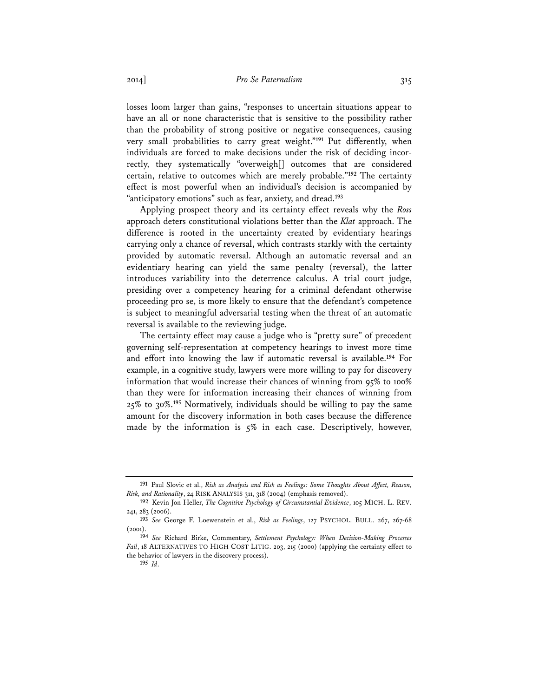losses loom larger than gains, "responses to uncertain situations appear to have an all or none characteristic that is sensitive to the possibility rather than the probability of strong positive or negative consequences, causing very small probabilities to carry great weight."<sup>191</sup> Put differently, when individuals are forced to make decisions under the risk of deciding incorrectly, they systematically "overweigh[] outcomes that are considered certain, relative to outcomes which are merely probable."**<sup>192</sup>** The certainty effect is most powerful when an individual's decision is accompanied by "anticipatory emotions" such as fear, anxiety, and dread.**<sup>193</sup>**

Applying prospect theory and its certainty effect reveals why the *Ross* approach deters constitutional violations better than the *Klat* approach. The difference is rooted in the uncertainty created by evidentiary hearings carrying only a chance of reversal, which contrasts starkly with the certainty provided by automatic reversal. Although an automatic reversal and an evidentiary hearing can yield the same penalty (reversal), the latter introduces variability into the deterrence calculus. A trial court judge, presiding over a competency hearing for a criminal defendant otherwise proceeding pro se, is more likely to ensure that the defendant's competence is subject to meaningful adversarial testing when the threat of an automatic reversal is available to the reviewing judge.

The certainty effect may cause a judge who is "pretty sure" of precedent governing self-representation at competency hearings to invest more time and effort into knowing the law if automatic reversal is available.**<sup>194</sup>** For example, in a cognitive study, lawyers were more willing to pay for discovery information that would increase their chances of winning from 95% to 100% than they were for information increasing their chances of winning from 25% to 30%.**<sup>195</sup>** Normatively, individuals should be willing to pay the same amount for the discovery information in both cases because the difference made by the information is 5% in each case. Descriptively, however,

**<sup>191</sup>** Paul Slovic et al., *Risk as Analysis and Risk as Feelings: Some Thoughts About Affect, Reason, Risk, and Rationality*, 24 RISK ANALYSIS 311, 318 (2004) (emphasis removed).

**<sup>192</sup>** Kevin Jon Heller, *The Cognitive Psychology of Circumstantial Evidence*, 105 MICH. L. REV. 241, 283 (2006).

**<sup>193</sup>** *See* George F. Loewenstein et al., *Risk as Feelings*, 127 PSYCHOL. BULL. 267, 267-68 (2001).

**<sup>194</sup>** *See* Richard Birke, Commentary, *Settlement Psychology: When Decision-Making Processes Fail*, 18 ALTERNATIVES TO HIGH COST LITIG. 203, 215 (2000) (applying the certainty effect to the behavior of lawyers in the discovery process).

**<sup>195</sup>** *Id*.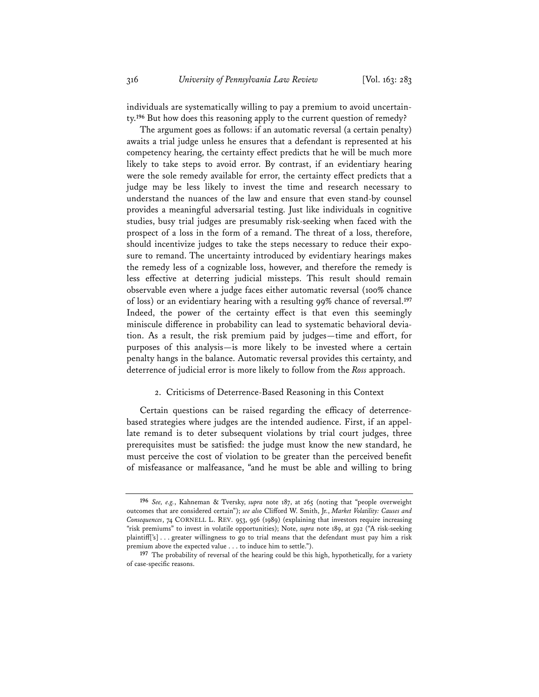individuals are systematically willing to pay a premium to avoid uncertainty.**<sup>196</sup>** But how does this reasoning apply to the current question of remedy?

The argument goes as follows: if an automatic reversal (a certain penalty) awaits a trial judge unless he ensures that a defendant is represented at his competency hearing, the certainty effect predicts that he will be much more likely to take steps to avoid error. By contrast, if an evidentiary hearing were the sole remedy available for error, the certainty effect predicts that a judge may be less likely to invest the time and research necessary to understand the nuances of the law and ensure that even stand-by counsel provides a meaningful adversarial testing. Just like individuals in cognitive studies, busy trial judges are presumably risk-seeking when faced with the prospect of a loss in the form of a remand. The threat of a loss, therefore, should incentivize judges to take the steps necessary to reduce their exposure to remand. The uncertainty introduced by evidentiary hearings makes the remedy less of a cognizable loss, however, and therefore the remedy is less effective at deterring judicial missteps. This result should remain observable even where a judge faces either automatic reversal (100% chance of loss) or an evidentiary hearing with a resulting 99% chance of reversal.**<sup>197</sup>** Indeed, the power of the certainty effect is that even this seemingly miniscule difference in probability can lead to systematic behavioral deviation. As a result, the risk premium paid by judges—time and effort, for purposes of this analysis—is more likely to be invested where a certain penalty hangs in the balance. Automatic reversal provides this certainty, and deterrence of judicial error is more likely to follow from the *Ross* approach.

## 2. Criticisms of Deterrence-Based Reasoning in this Context

Certain questions can be raised regarding the efficacy of deterrencebased strategies where judges are the intended audience. First, if an appellate remand is to deter subsequent violations by trial court judges, three prerequisites must be satisfied: the judge must know the new standard, he must perceive the cost of violation to be greater than the perceived benefit of misfeasance or malfeasance, "and he must be able and willing to bring

**<sup>196</sup>** *See, e.g.*, Kahneman & Tversky, *supra* note 187, at 265 (noting that "people overweight outcomes that are considered certain"); *see also* Clifford W. Smith, Jr., *Market Volatility: Causes and Consequences*, 74 CORNELL L. REV. 953, 956 (1989) (explaining that investors require increasing "risk premiums" to invest in volatile opportunities); Note, *supra* note 189, at 592 ("A risk-seeking plaintiff['s] . . . greater willingness to go to trial means that the defendant must pay him a risk premium above the expected value . . . to induce him to settle.").

**<sup>197</sup>** The probability of reversal of the hearing could be this high, hypothetically, for a variety of case-specific reasons.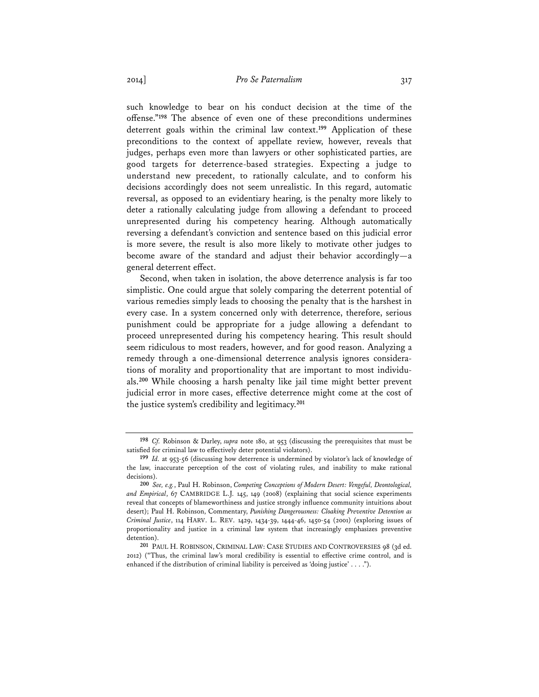such knowledge to bear on his conduct decision at the time of the offense."**<sup>198</sup>** The absence of even one of these preconditions undermines deterrent goals within the criminal law context.**<sup>199</sup>** Application of these preconditions to the context of appellate review, however, reveals that judges, perhaps even more than lawyers or other sophisticated parties, are good targets for deterrence-based strategies. Expecting a judge to understand new precedent, to rationally calculate, and to conform his decisions accordingly does not seem unrealistic. In this regard, automatic reversal, as opposed to an evidentiary hearing, is the penalty more likely to deter a rationally calculating judge from allowing a defendant to proceed unrepresented during his competency hearing. Although automatically reversing a defendant's conviction and sentence based on this judicial error is more severe, the result is also more likely to motivate other judges to become aware of the standard and adjust their behavior accordingly—a general deterrent effect.

Second, when taken in isolation, the above deterrence analysis is far too simplistic. One could argue that solely comparing the deterrent potential of various remedies simply leads to choosing the penalty that is the harshest in every case. In a system concerned only with deterrence, therefore, serious punishment could be appropriate for a judge allowing a defendant to proceed unrepresented during his competency hearing. This result should seem ridiculous to most readers, however, and for good reason. Analyzing a remedy through a one-dimensional deterrence analysis ignores considerations of morality and proportionality that are important to most individuals.**<sup>200</sup>** While choosing a harsh penalty like jail time might better prevent judicial error in more cases, effective deterrence might come at the cost of the justice system's credibility and legitimacy.**<sup>201</sup>**

**<sup>198</sup>** *Cf.* Robinson & Darley, *supra* note 180, at 953 (discussing the prerequisites that must be satisfied for criminal law to effectively deter potential violators).

**<sup>199</sup>** *Id.* at 953-56 (discussing how deterrence is undermined by violator's lack of knowledge of the law, inaccurate perception of the cost of violating rules, and inability to make rational decisions).

**<sup>200</sup>** *See, e.g.*, Paul H. Robinson, *Competing Conceptions of Modern Desert: Vengeful, Deontological, and Empirical*, 67 CAMBRIDGE L.J. 145, 149 (2008) (explaining that social science experiments reveal that concepts of blameworthiness and justice strongly influence community intuitions about desert); Paul H. Robinson, Commentary, *Punishing Dangerousness: Cloaking Preventive Detention as Criminal Justice*, 114 HARV. L. REV. 1429, 1434-39, 1444-46, 1450-54 (2001) (exploring issues of proportionality and justice in a criminal law system that increasingly emphasizes preventive detention).

**<sup>201</sup>** PAUL H. ROBINSON, CRIMINAL LAW: CASE STUDIES AND CONTROVERSIES 98 (3d ed. 2012) ("Thus, the criminal law's moral credibility is essential to effective crime control, and is enhanced if the distribution of criminal liability is perceived as 'doing justice' . . . .").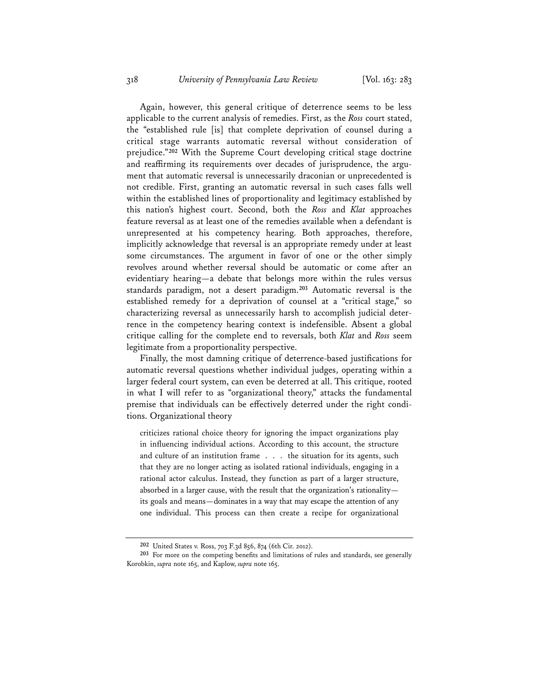Again, however, this general critique of deterrence seems to be less applicable to the current analysis of remedies. First, as the *Ross* court stated, the "established rule [is] that complete deprivation of counsel during a critical stage warrants automatic reversal without consideration of prejudice."**<sup>202</sup>** With the Supreme Court developing critical stage doctrine and reaffirming its requirements over decades of jurisprudence, the argument that automatic reversal is unnecessarily draconian or unprecedented is not credible. First, granting an automatic reversal in such cases falls well within the established lines of proportionality and legitimacy established by this nation's highest court. Second, both the *Ross* and *Klat* approaches feature reversal as at least one of the remedies available when a defendant is unrepresented at his competency hearing. Both approaches, therefore, implicitly acknowledge that reversal is an appropriate remedy under at least some circumstances. The argument in favor of one or the other simply revolves around whether reversal should be automatic or come after an evidentiary hearing—a debate that belongs more within the rules versus standards paradigm, not a desert paradigm.**<sup>203</sup>** Automatic reversal is the established remedy for a deprivation of counsel at a "critical stage," so characterizing reversal as unnecessarily harsh to accomplish judicial deterrence in the competency hearing context is indefensible. Absent a global critique calling for the complete end to reversals, both *Klat* and *Ross* seem legitimate from a proportionality perspective.

Finally, the most damning critique of deterrence-based justifications for automatic reversal questions whether individual judges, operating within a larger federal court system, can even be deterred at all. This critique, rooted in what I will refer to as "organizational theory," attacks the fundamental premise that individuals can be effectively deterred under the right conditions. Organizational theory

criticizes rational choice theory for ignoring the impact organizations play in influencing individual actions. According to this account, the structure and culture of an institution frame . . . the situation for its agents, such that they are no longer acting as isolated rational individuals, engaging in a rational actor calculus. Instead, they function as part of a larger structure, absorbed in a larger cause, with the result that the organization's rationality its goals and means—dominates in a way that may escape the attention of any one individual. This process can then create a recipe for organizational

**<sup>202</sup>** United States v. Ross, 703 F.3d 856, 874 (6th Cir. 2012).

**<sup>203</sup>** For more on the competing benefits and limitations of rules and standards, see generally Korobkin, *supra* note 165, and Kaplow, *supra* note 165.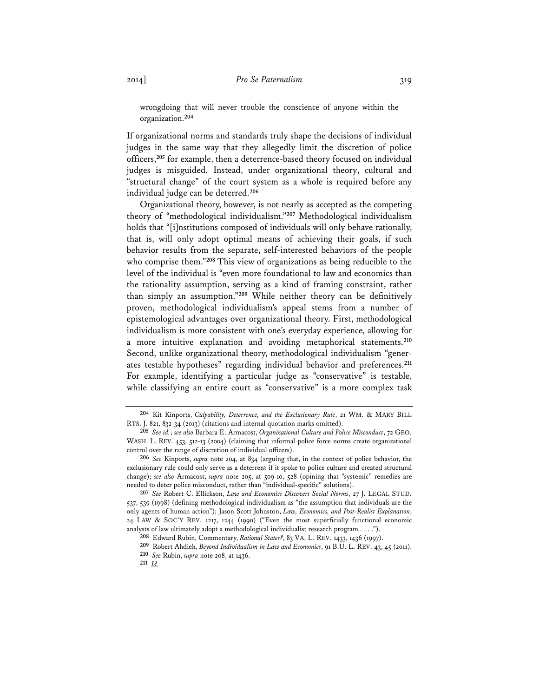wrongdoing that will never trouble the conscience of anyone within the organization.**<sup>204</sup>**

If organizational norms and standards truly shape the decisions of individual judges in the same way that they allegedly limit the discretion of police officers,**<sup>205</sup>** for example, then a deterrence-based theory focused on individual judges is misguided. Instead, under organizational theory, cultural and "structural change" of the court system as a whole is required before any individual judge can be deterred.**<sup>206</sup>**

Organizational theory, however, is not nearly as accepted as the competing theory of "methodological individualism."**<sup>207</sup>** Methodological individualism holds that "[i]nstitutions composed of individuals will only behave rationally, that is, will only adopt optimal means of achieving their goals, if such behavior results from the separate, self-interested behaviors of the people who comprise them."**<sup>208</sup>** This view of organizations as being reducible to the level of the individual is "even more foundational to law and economics than the rationality assumption, serving as a kind of framing constraint, rather than simply an assumption."**<sup>209</sup>** While neither theory can be definitively proven, methodological individualism's appeal stems from a number of epistemological advantages over organizational theory. First, methodological individualism is more consistent with one's everyday experience, allowing for a more intuitive explanation and avoiding metaphorical statements.**<sup>210</sup>** Second, unlike organizational theory, methodological individualism "generates testable hypotheses" regarding individual behavior and preferences.**<sup>211</sup>** For example, identifying a particular judge as "conservative" is testable, while classifying an entire court as "conservative" is a more complex task

**<sup>204</sup>** Kit Kinports, *Culpability, Deterrence, and the Exclusionary Rule*, 21 WM. & MARY BILL RTS. J. 821, 832-34 (2013) (citations and internal quotation marks omitted).

**<sup>205</sup>** *See id.*; *see also* Barbara E. Armacost, *Organizational Culture and Police Misconduct*, 72 GEO. WASH. L. REV. 453, 512-13 (2004) (claiming that informal police force norms create organizational control over the range of discretion of individual officers).

**<sup>206</sup>** *See* Kinports, *supra* note 204, at 834 (arguing that, in the context of police behavior, the exclusionary rule could only serve as a deterrent if it spoke to police culture and created structural change); *see also* Armacost, *supra* note 205, at 509-10, 528 (opining that "systemic" remedies are needed to deter police misconduct, rather than "individual-specific" solutions).

**<sup>207</sup>** *See* Robert C. Ellickson, *Law and Economics Discovers Social Norms*, 27 J. LEGAL STUD. 537, 539 (1998) (defining methodological individualism as "the assumption that individuals are the only agents of human action"); Jason Scott Johnston, *Law, Economics, and Post-Realist Explanation*, 24 LAW & SOC'Y REV. 1217, 1244 (1990) ("Even the most superficially functional economic analysts of law ultimately adopt a methodological individualist research program . . . .").

**<sup>208</sup>** Edward Rubin, Commentary, *Rational States?*, 83 VA. L. REV. 1433, 1436 (1997).

**<sup>209</sup>** Robert Ahdieh, *Beyond Individualism in Law and Economics*, 91 B.U. L. REV. 43, 45 (2011). **<sup>210</sup>** *See* Rubin, *supra* note 208, at 1436.

**<sup>211</sup>** *Id.*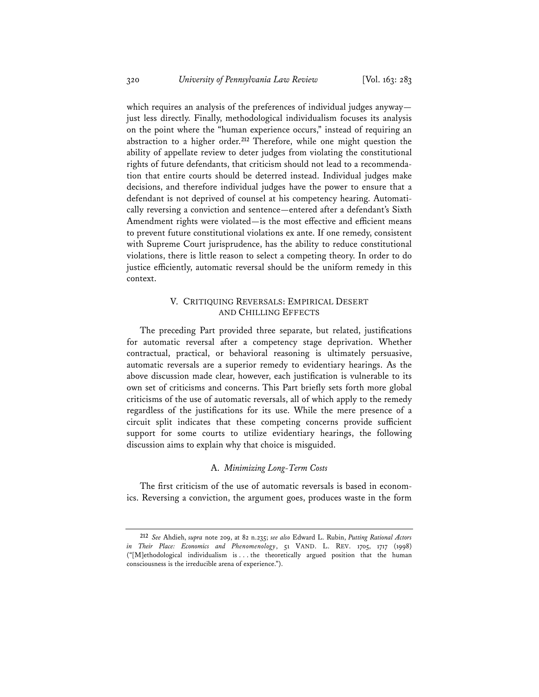which requires an analysis of the preferences of individual judges anyway just less directly. Finally, methodological individualism focuses its analysis on the point where the "human experience occurs," instead of requiring an abstraction to a higher order.**<sup>212</sup>** Therefore, while one might question the ability of appellate review to deter judges from violating the constitutional rights of future defendants, that criticism should not lead to a recommendation that entire courts should be deterred instead. Individual judges make decisions, and therefore individual judges have the power to ensure that a defendant is not deprived of counsel at his competency hearing. Automatically reversing a conviction and sentence—entered after a defendant's Sixth Amendment rights were violated—is the most effective and efficient means to prevent future constitutional violations ex ante. If one remedy, consistent with Supreme Court jurisprudence, has the ability to reduce constitutional violations, there is little reason to select a competing theory. In order to do justice efficiently, automatic reversal should be the uniform remedy in this context.

## V. CRITIQUING REVERSALS: EMPIRICAL DESERT AND CHILLING EFFECTS

The preceding Part provided three separate, but related, justifications for automatic reversal after a competency stage deprivation. Whether contractual, practical, or behavioral reasoning is ultimately persuasive, automatic reversals are a superior remedy to evidentiary hearings. As the above discussion made clear, however, each justification is vulnerable to its own set of criticisms and concerns. This Part briefly sets forth more global criticisms of the use of automatic reversals, all of which apply to the remedy regardless of the justifications for its use. While the mere presence of a circuit split indicates that these competing concerns provide sufficient support for some courts to utilize evidentiary hearings, the following discussion aims to explain why that choice is misguided.

## A. *Minimizing Long-Term Costs*

The first criticism of the use of automatic reversals is based in economics. Reversing a conviction, the argument goes, produces waste in the form

**<sup>212</sup>** *See* Ahdieh, *supra* note 209, at 82 n.235; *see also* Edward L. Rubin, *Putting Rational Actors in Their Place: Economics and Phenomenology*, 51 VAND. L. REV. 1705, 1717 (1998) ("[M]ethodological individualism is . . . the theoretically argued position that the human consciousness is the irreducible arena of experience.").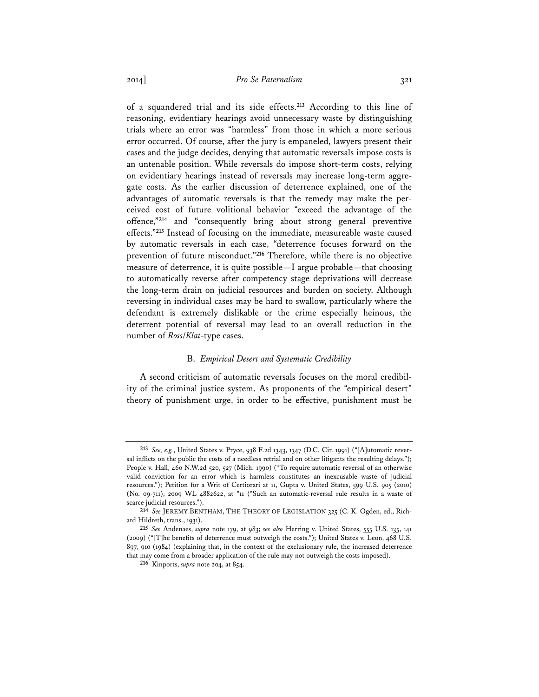of a squandered trial and its side effects.**<sup>213</sup>** According to this line of reasoning, evidentiary hearings avoid unnecessary waste by distinguishing trials where an error was "harmless" from those in which a more serious error occurred. Of course, after the jury is empaneled, lawyers present their cases and the judge decides, denying that automatic reversals impose costs is an untenable position. While reversals do impose short-term costs, relying on evidentiary hearings instead of reversals may increase long-term aggregate costs. As the earlier discussion of deterrence explained, one of the advantages of automatic reversals is that the remedy may make the perceived cost of future volitional behavior "exceed the advantage of the offence,"**<sup>214</sup>** and "consequently bring about strong general preventive effects."**<sup>215</sup>** Instead of focusing on the immediate, measureable waste caused by automatic reversals in each case, "deterrence focuses forward on the prevention of future misconduct."**<sup>216</sup>** Therefore, while there is no objective measure of deterrence, it is quite possible—I argue probable—that choosing to automatically reverse after competency stage deprivations will decrease the long-term drain on judicial resources and burden on society. Although reversing in individual cases may be hard to swallow, particularly where the defendant is extremely dislikable or the crime especially heinous, the deterrent potential of reversal may lead to an overall reduction in the number of *Ross*/*Klat*-type cases.

## B. *Empirical Desert and Systematic Credibility*

A second criticism of automatic reversals focuses on the moral credibility of the criminal justice system. As proponents of the "empirical desert" theory of punishment urge, in order to be effective, punishment must be

**<sup>213</sup>** *See, e.g.*, United States v. Pryce, 938 F.2d 1343, 1347 (D.C. Cir. 1991) ("[A]utomatic reversal inflicts on the public the costs of a needless retrial and on other litigants the resulting delays."); People v. Hall, 460 N.W.2d 520, 527 (Mich. 1990) ("To require automatic reversal of an otherwise valid conviction for an error which is harmless constitutes an inexcusable waste of judicial resources."); Petition for a Writ of Certiorari at 11, Gupta v. United States, 599 U.S. 905 (2010) (No. 09-711), 2009 WL 4882622, at \*11 ("Such an automatic-reversal rule results in a waste of scarce judicial resources.").

**<sup>214</sup>** *See* JEREMY BENTHAM, THE THEORY OF LEGISLATION 325 (C. K. Ogden, ed., Richard Hildreth, trans., 1931).

**<sup>215</sup>** *See* Andenaes, *supra* note 179, at 983; *see also* Herring v. United States, 555 U.S. 135, 141 (2009) ("[T]he benefits of deterrence must outweigh the costs."); United States v. Leon, 468 U.S. 897, 910 (1984) (explaining that, in the context of the exclusionary rule, the increased deterrence that may come from a broader application of the rule may not outweigh the costs imposed).

**<sup>216</sup>** Kinports, *supra* note 204, at 854.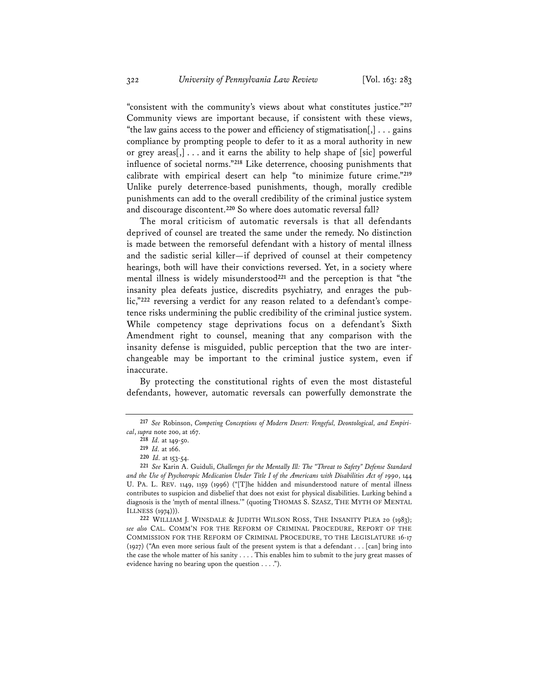"consistent with the community's views about what constitutes justice."**<sup>217</sup>** Community views are important because, if consistent with these views, "the law gains access to the power and efficiency of stigmatisation $[,] \ldots$  gains compliance by prompting people to defer to it as a moral authority in new or grey areas[,] . . . and it earns the ability to help shape of [sic] powerful influence of societal norms."**<sup>218</sup>** Like deterrence, choosing punishments that calibrate with empirical desert can help "to minimize future crime."**<sup>219</sup>** Unlike purely deterrence-based punishments, though, morally credible punishments can add to the overall credibility of the criminal justice system and discourage discontent.**<sup>220</sup>** So where does automatic reversal fall?

The moral criticism of automatic reversals is that all defendants deprived of counsel are treated the same under the remedy. No distinction is made between the remorseful defendant with a history of mental illness and the sadistic serial killer—if deprived of counsel at their competency hearings, both will have their convictions reversed. Yet, in a society where mental illness is widely misunderstood**<sup>221</sup>** and the perception is that "the insanity plea defeats justice, discredits psychiatry, and enrages the public,"**<sup>222</sup>** reversing a verdict for any reason related to a defendant's competence risks undermining the public credibility of the criminal justice system. While competency stage deprivations focus on a defendant's Sixth Amendment right to counsel, meaning that any comparison with the insanity defense is misguided, public perception that the two are interchangeable may be important to the criminal justice system, even if inaccurate.

By protecting the constitutional rights of even the most distasteful defendants, however, automatic reversals can powerfully demonstrate the

**<sup>217</sup>** *See* Robinson, *Competing Conceptions of Modern Desert: Vengeful, Deontological, and Empirical*, *supra* note 200, at 167.

**<sup>218</sup>** *Id.* at 149-50.

**<sup>219</sup>** *Id.* at 166.

**<sup>220</sup>** *Id.* at 153-54.

**<sup>221</sup>** *See* Karin A. Guiduli, *Challenges for the Mentally Ill: The "Threat to Safety" Defense Standard and the Use of Psychotropic Medication Under Title I of the Americans with Disabilities Act of 1990*, 144 U. PA. L. REV. 1149, 1159 (1996) ("[T]he hidden and misunderstood nature of mental illness contributes to suspicion and disbelief that does not exist for physical disabilities. Lurking behind a diagnosis is the 'myth of mental illness.'" (quoting THOMAS S. SZASZ, THE MYTH OF MENTAL ILLNESS (1974))).

**<sup>222</sup>** WILLIAM J. WINSDALE & JUDITH WILSON ROSS, THE INSANITY PLEA 20 (1983); *see also* CAL. COMM'N FOR THE REFORM OF CRIMINAL PROCEDURE, REPORT OF THE COMMISSION FOR THE REFORM OF CRIMINAL PROCEDURE, TO THE LEGISLATURE 16-17 (1927) ("An even more serious fault of the present system is that a defendant . . . [can] bring into the case the whole matter of his sanity . . . . This enables him to submit to the jury great masses of evidence having no bearing upon the question . . . .").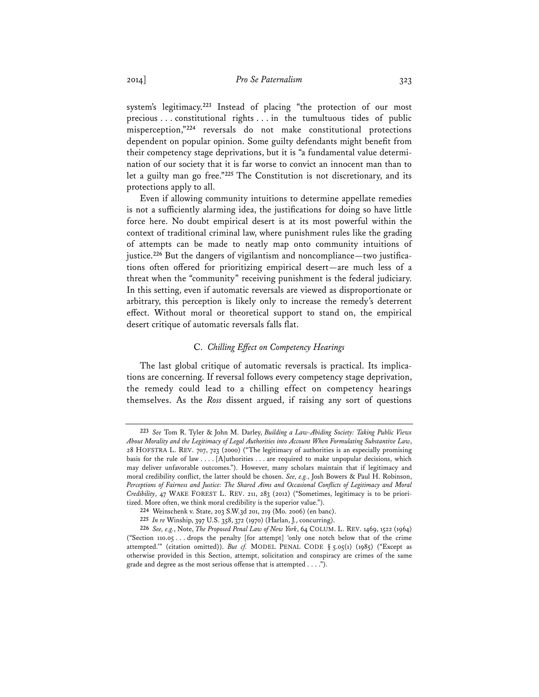system's legitimacy.**<sup>223</sup>** Instead of placing "the protection of our most precious . . . constitutional rights . . . in the tumultuous tides of public misperception,"**<sup>224</sup>** reversals do not make constitutional protections dependent on popular opinion. Some guilty defendants might benefit from their competency stage deprivations, but it is "a fundamental value determination of our society that it is far worse to convict an innocent man than to let a guilty man go free."**<sup>225</sup>** The Constitution is not discretionary, and its protections apply to all.

Even if allowing community intuitions to determine appellate remedies is not a sufficiently alarming idea, the justifications for doing so have little force here. No doubt empirical desert is at its most powerful within the context of traditional criminal law, where punishment rules like the grading of attempts can be made to neatly map onto community intuitions of justice.**<sup>226</sup>** But the dangers of vigilantism and noncompliance—two justifications often offered for prioritizing empirical desert—are much less of a threat when the "community" receiving punishment is the federal judiciary. In this setting, even if automatic reversals are viewed as disproportionate or arbitrary, this perception is likely only to increase the remedy's deterrent effect. Without moral or theoretical support to stand on, the empirical desert critique of automatic reversals falls flat.

## C. *Chilling Effect on Competency Hearings*

The last global critique of automatic reversals is practical. Its implications are concerning. If reversal follows every competency stage deprivation, the remedy could lead to a chilling effect on competency hearings themselves. As the *Ross* dissent argued, if raising any sort of questions

**<sup>223</sup>** *See* Tom R. Tyler & John M. Darley, *Building a Law-Abiding Society: Taking Public Views About Morality and the Legitimacy of Legal Authorities into Account When Formulating Substantive Law*, 28 HOFSTRA L. REV. 707, 723 (2000) ("The legitimacy of authorities is an especially promising basis for the rule of law . . . . [A]uthorities . . . are required to make unpopular decisions, which may deliver unfavorable outcomes."). However, many scholars maintain that if legitimacy and moral credibility conflict, the latter should be chosen. *See, e.g.*, Josh Bowers & Paul H. Robinson, *Perceptions of Fairness and Justice: The Shared Aims and Occasional Conflicts of Legitimacy and Moral Credibility*, 47 WAKE FOREST L. REV. 211, 283 (2012) ("Sometimes, legitimacy is to be prioritized. More often, we think moral credibility is the superior value.").

**<sup>224</sup>** Weinschenk v. State, 203 S.W.3d 201, 219 (Mo. 2006) (en banc).

**<sup>225</sup>** *In re* Winship, 397 U.S. 358, 372 (1970) (Harlan, J., concurring).

**<sup>226</sup>** *See, e.g.*, Note, *The Proposed Penal Law of New York*, 64 COLUM. L. REV. 1469, 1522 (1964) ("Section 110.05 . . . drops the penalty [for attempt] 'only one notch below that of the crime attempted.'" (citation omitted)). *But cf.* MODEL PENAL CODE § 5.05(1) (1985) ("Except as otherwise provided in this Section, attempt, solicitation and conspiracy are crimes of the same grade and degree as the most serious offense that is attempted . . . .").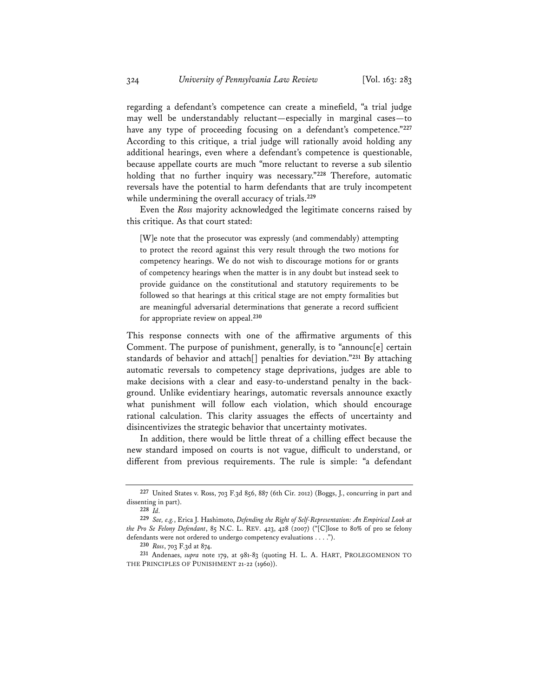regarding a defendant's competence can create a minefield, "a trial judge may well be understandably reluctant—especially in marginal cases—to have any type of proceeding focusing on a defendant's competence."**<sup>227</sup>** According to this critique, a trial judge will rationally avoid holding any additional hearings, even where a defendant's competence is questionable, because appellate courts are much "more reluctant to reverse a sub silentio holding that no further inquiry was necessary."**<sup>228</sup>** Therefore, automatic reversals have the potential to harm defendants that are truly incompetent while undermining the overall accuracy of trials.**<sup>229</sup>**

Even the *Ross* majority acknowledged the legitimate concerns raised by this critique. As that court stated:

[W]e note that the prosecutor was expressly (and commendably) attempting to protect the record against this very result through the two motions for competency hearings. We do not wish to discourage motions for or grants of competency hearings when the matter is in any doubt but instead seek to provide guidance on the constitutional and statutory requirements to be followed so that hearings at this critical stage are not empty formalities but are meaningful adversarial determinations that generate a record sufficient for appropriate review on appeal.**<sup>230</sup>**

This response connects with one of the affirmative arguments of this Comment. The purpose of punishment, generally, is to "announc[e] certain standards of behavior and attach[] penalties for deviation."**<sup>231</sup>** By attaching automatic reversals to competency stage deprivations, judges are able to make decisions with a clear and easy-to-understand penalty in the background. Unlike evidentiary hearings, automatic reversals announce exactly what punishment will follow each violation, which should encourage rational calculation. This clarity assuages the effects of uncertainty and disincentivizes the strategic behavior that uncertainty motivates.

In addition, there would be little threat of a chilling effect because the new standard imposed on courts is not vague, difficult to understand, or different from previous requirements. The rule is simple: "a defendant

**<sup>227</sup>** United States v. Ross, 703 F.3d 856, 887 (6th Cir. 2012) (Boggs, J., concurring in part and dissenting in part).

**<sup>228</sup>** *Id.* **<sup>229</sup>** *See, e.g.*, Erica J. Hashimoto, *Defending the Right of Self-Representation: An Empirical Look at the Pro Se Felony Defendant*, 85 N.C. L. REV. 423, 428 (2007) ("[C]lose to 80% of pro se felony defendants were not ordered to undergo competency evaluations . . . .").

**<sup>230</sup>** *Ross*, 703 F.3d at 874.

**<sup>231</sup>** Andenaes, *supra* note 179, at 981-83 (quoting H. L. A. HART, PROLEGOMENON TO THE PRINCIPLES OF PUNISHMENT 21-22 (1960)).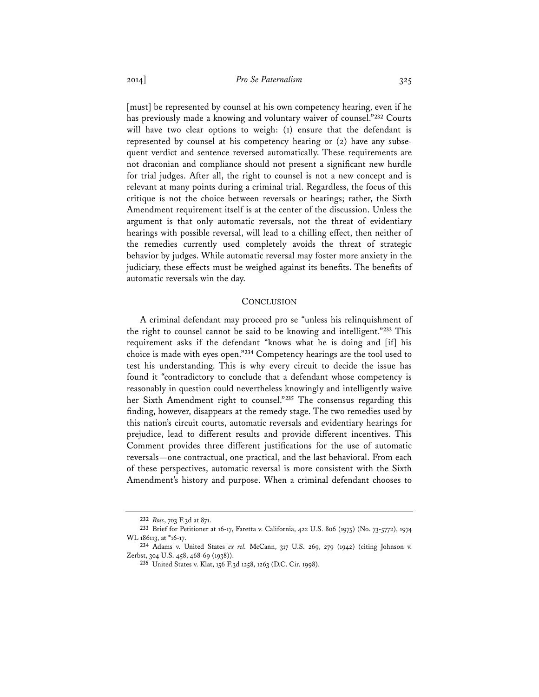[must] be represented by counsel at his own competency hearing, even if he has previously made a knowing and voluntary waiver of counsel."**<sup>232</sup>** Courts will have two clear options to weigh: (1) ensure that the defendant is represented by counsel at his competency hearing or (2) have any subsequent verdict and sentence reversed automatically. These requirements are not draconian and compliance should not present a significant new hurdle for trial judges. After all, the right to counsel is not a new concept and is relevant at many points during a criminal trial. Regardless, the focus of this critique is not the choice between reversals or hearings; rather, the Sixth Amendment requirement itself is at the center of the discussion. Unless the argument is that only automatic reversals, not the threat of evidentiary hearings with possible reversal, will lead to a chilling effect, then neither of the remedies currently used completely avoids the threat of strategic behavior by judges. While automatic reversal may foster more anxiety in the judiciary, these effects must be weighed against its benefits. The benefits of automatic reversals win the day.

#### **CONCLUSION**

A criminal defendant may proceed pro se "unless his relinquishment of the right to counsel cannot be said to be knowing and intelligent."**<sup>233</sup>** This requirement asks if the defendant "knows what he is doing and [if] his choice is made with eyes open."**<sup>234</sup>** Competency hearings are the tool used to test his understanding. This is why every circuit to decide the issue has found it "contradictory to conclude that a defendant whose competency is reasonably in question could nevertheless knowingly and intelligently waive her Sixth Amendment right to counsel."**<sup>235</sup>** The consensus regarding this finding, however, disappears at the remedy stage. The two remedies used by this nation's circuit courts, automatic reversals and evidentiary hearings for prejudice, lead to different results and provide different incentives. This Comment provides three different justifications for the use of automatic reversals—one contractual, one practical, and the last behavioral. From each of these perspectives, automatic reversal is more consistent with the Sixth Amendment's history and purpose. When a criminal defendant chooses to

**<sup>232</sup>** *Ross*, 703 F.3d at 871.

**<sup>233</sup>** Brief for Petitioner at 16-17, Faretta v. California, 422 U.S. 806 (1975) (No. 73-5772), 1974 WL 186113, at \*16-17.

**<sup>234</sup>** Adams v. United States *ex rel.* McCann, 317 U.S. 269, 279 (1942) (citing Johnson v. Zerbst, 304 U.S. 458, 468-69 (1938)).

**<sup>235</sup>** United States v. Klat, 156 F.3d 1258, 1263 (D.C. Cir. 1998).